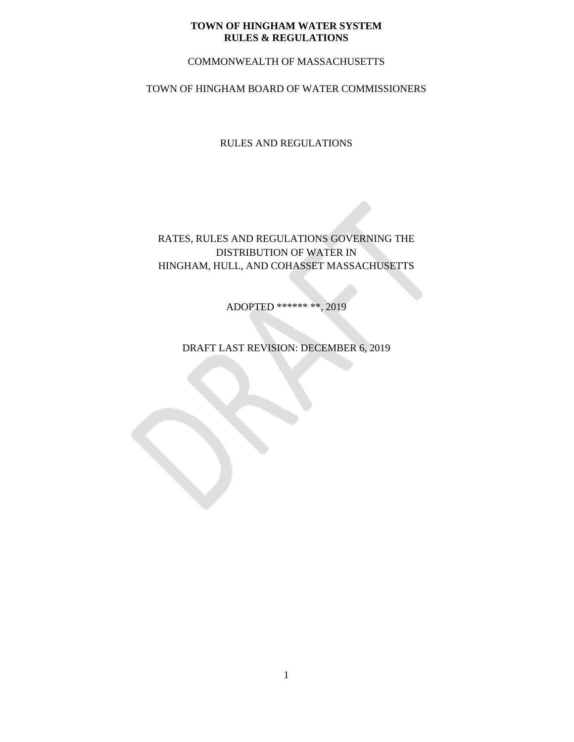# COMMONWEALTH OF MASSACHUSETTS

# TOWN OF HINGHAM BOARD OF WATER COMMISSIONERS

RULES AND REGULATIONS

RATES, RULES AND REGULATIONS GOVERNING THE DISTRIBUTION OF WATER IN HINGHAM, HULL, AND COHASSET MASSACHUSETTS

ADOPTED \*\*\*\*\*\* \*\*, 2019

DRAFT LAST REVISION: DECEMBER 6, 2019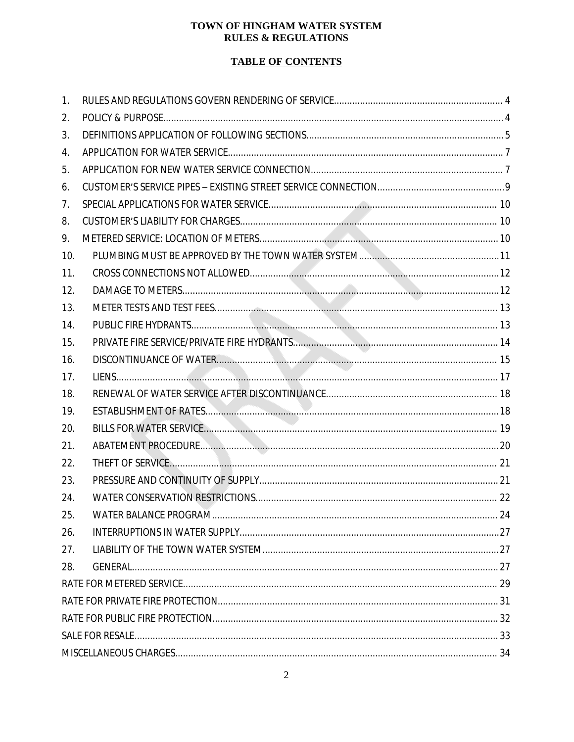# **TABLE OF CONTENTS**

| 1.  |  |  |  |
|-----|--|--|--|
| 2.  |  |  |  |
| 3.  |  |  |  |
| 4.  |  |  |  |
| 5.  |  |  |  |
| 6.  |  |  |  |
| 7.  |  |  |  |
| 8.  |  |  |  |
| 9.  |  |  |  |
| 10. |  |  |  |
| 11. |  |  |  |
| 12. |  |  |  |
| 13. |  |  |  |
| 14. |  |  |  |
| 15. |  |  |  |
| 16. |  |  |  |
| 17. |  |  |  |
| 18. |  |  |  |
| 19. |  |  |  |
| 20. |  |  |  |
| 21. |  |  |  |
| 22. |  |  |  |
| 23. |  |  |  |
| 24. |  |  |  |
| 25. |  |  |  |
| 26. |  |  |  |
| 27. |  |  |  |
| 28. |  |  |  |
|     |  |  |  |
|     |  |  |  |
|     |  |  |  |
|     |  |  |  |
|     |  |  |  |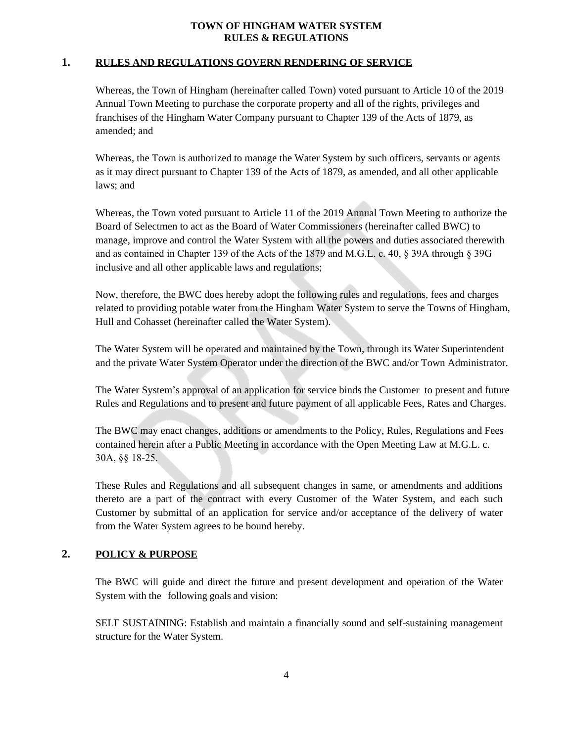### **1. RULES AND REGULATIONS GOVERN RENDERING OF SERVICE**

<span id="page-3-0"></span>Whereas, the Town of Hingham (hereinafter called Town) voted pursuant to Article 10 of the 2019 Annual Town Meeting to purchase the corporate property and all of the rights, privileges and franchises of the Hingham Water Company pursuant to Chapter 139 of the Acts of 1879, as amended; and

Whereas, the Town is authorized to manage the Water System by such officers, servants or agents as it may direct pursuant to Chapter 139 of the Acts of 1879, as amended, and all other applicable laws; and

Whereas, the Town voted pursuant to Article 11 of the 2019 Annual Town Meeting to authorize the Board of Selectmen to act as the Board of Water Commissioners (hereinafter called BWC) to manage, improve and control the Water System with all the powers and duties associated therewith and as contained in Chapter 139 of the Acts of the 1879 and M.G.L. c. 40, § 39A through § 39G inclusive and all other applicable laws and regulations;

Now, therefore, the BWC does hereby adopt the following rules and regulations, fees and charges related to providing potable water from the Hingham Water System to serve the Towns of Hingham, Hull and Cohasset (hereinafter called the Water System).

The Water System will be operated and maintained by the Town, through its Water Superintendent and the private Water System Operator under the direction of the BWC and/or Town Administrator.

The Water System's approval of an application for service binds the Customer to present and future Rules and Regulations and to present and future payment of all applicable Fees, Rates and Charges.

The BWC may enact changes, additions or amendments to the Policy, Rules, Regulations and Fees contained herein after a Public Meeting in accordance with the Open Meeting Law at M.G.L. c. 30A, §§ 18-25.

These Rules and Regulations and all subsequent changes in same, or amendments and additions thereto are a part of the contract with every Customer of the Water System, and each such Customer by submittal of an application for service and/or acceptance of the delivery of water from the Water System agrees to be bound hereby.

# **2. POLICY & PURPOSE**

<span id="page-3-1"></span>The BWC will guide and direct the future and present development and operation of the Water System with the following goals and vision:

SELF SUSTAINING: Establish and maintain a financially sound and self-sustaining management structure for the Water System.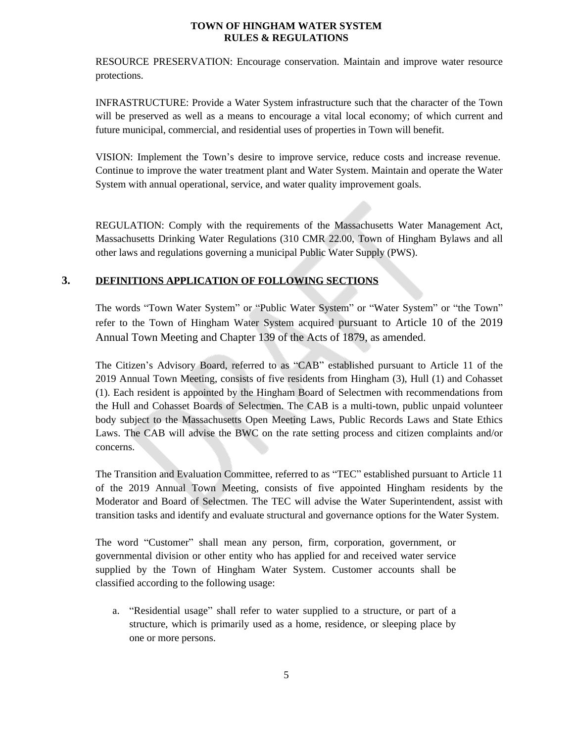RESOURCE PRESERVATION: Encourage conservation. Maintain and improve water resource protections.

INFRASTRUCTURE: Provide a Water System infrastructure such that the character of the Town will be preserved as well as a means to encourage a vital local economy; of which current and future municipal, commercial, and residential uses of properties in Town will benefit.

VISION: Implement the Town's desire to improve service, reduce costs and increase revenue. Continue to improve the water treatment plant and Water System. Maintain and operate the Water System with annual operational, service, and water quality improvement goals.

REGULATION: Comply with the requirements of the Massachusetts Water Management Act, Massachusetts Drinking Water Regulations (310 CMR 22.00, Town of Hingham Bylaws and all other laws and regulations governing a municipal Public Water Supply (PWS).

# **3. DEFINITIONS APPLICATION OF FOLLOWING SECTIONS**

The words "Town Water System" or "Public Water System" or "Water System" or "the Town" refer to the Town of Hingham Water System acquired pursuant to Article 10 of the 2019 Annual Town Meeting and Chapter 139 of the Acts of 1879, as amended.

The Citizen's Advisory Board, referred to as "CAB" established pursuant to Article 11 of the 2019 Annual Town Meeting, consists of five residents from Hingham (3), Hull (1) and Cohasset (1). Each resident is appointed by the Hingham Board of Selectmen with recommendations from the Hull and Cohasset Boards of Selectmen. The CAB is a multi-town, public unpaid volunteer body subject to the Massachusetts Open Meeting Laws, Public Records Laws and State Ethics Laws. The CAB will advise the BWC on the rate setting process and citizen complaints and/or concerns.

The Transition and Evaluation Committee, referred to as "TEC" established pursuant to Article 11 of the 2019 Annual Town Meeting, consists of five appointed Hingham residents by the Moderator and Board of Selectmen. The TEC will advise the Water Superintendent, assist with transition tasks and identify and evaluate structural and governance options for the Water System.

The word "Customer" shall mean any person, firm, corporation, government, or governmental division or other entity who has applied for and received water service supplied by the Town of Hingham Water System. Customer accounts shall be classified according to the following usage:

a. "Residential usage" shall refer to water supplied to a structure, or part of a structure, which is primarily used as a home, residence, or sleeping place by one or more persons.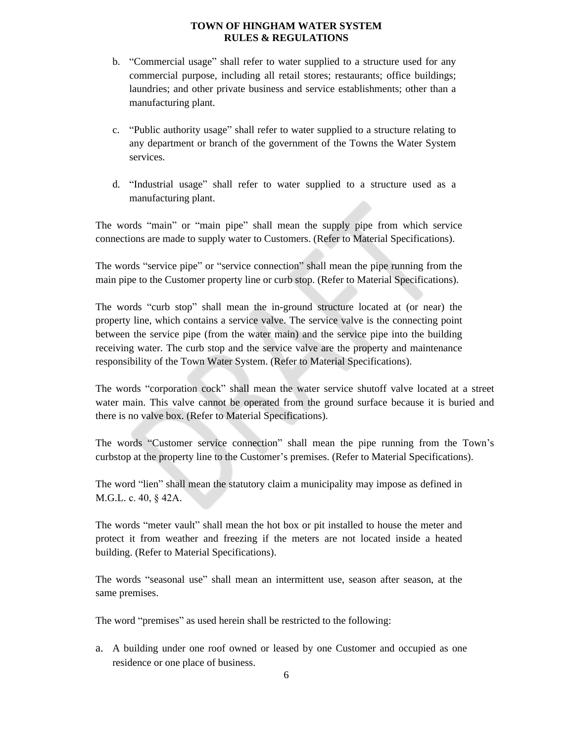- b. "Commercial usage" shall refer to water supplied to a structure used for any commercial purpose, including all retail stores; restaurants; office buildings; laundries; and other private business and service establishments; other than a manufacturing plant.
- c. "Public authority usage" shall refer to water supplied to a structure relating to any department or branch of the government of the Towns the Water System services.
- d. "Industrial usage" shall refer to water supplied to a structure used as a manufacturing plant.

The words "main" or "main pipe" shall mean the supply pipe from which service connections are made to supply water to Customers. (Refer to Material Specifications).

The words "service pipe" or "service connection" shall mean the pipe running from the main pipe to the Customer property line or curb stop. (Refer to Material Specifications).

The words "curb stop" shall mean the in-ground structure located at (or near) the property line, which contains a service valve. The service valve is the connecting point between the service pipe (from the water main) and the service pipe into the building receiving water. The curb stop and the service valve are the property and maintenance responsibility of the Town Water System. (Refer to Material Specifications).

The words "corporation cock" shall mean the water service shutoff valve located at a street water main. This valve cannot be operated from the ground surface because it is buried and there is no valve box. (Refer to Material Specifications).

The words "Customer service connection" shall mean the pipe running from the Town's curbstop at the property line to the Customer's premises. (Refer to Material Specifications).

The word "lien" shall mean the statutory claim a municipality may impose as defined in M.G.L. c. 40, § 42A.

The words "meter vault" shall mean the hot box or pit installed to house the meter and protect it from weather and freezing if the meters are not located inside a heated building. (Refer to Material Specifications).

The words "seasonal use" shall mean an intermittent use, season after season, at the same premises.

The word "premises" as used herein shall be restricted to the following:

a. A building under one roof owned or leased by one Customer and occupied as one residence or one place of business.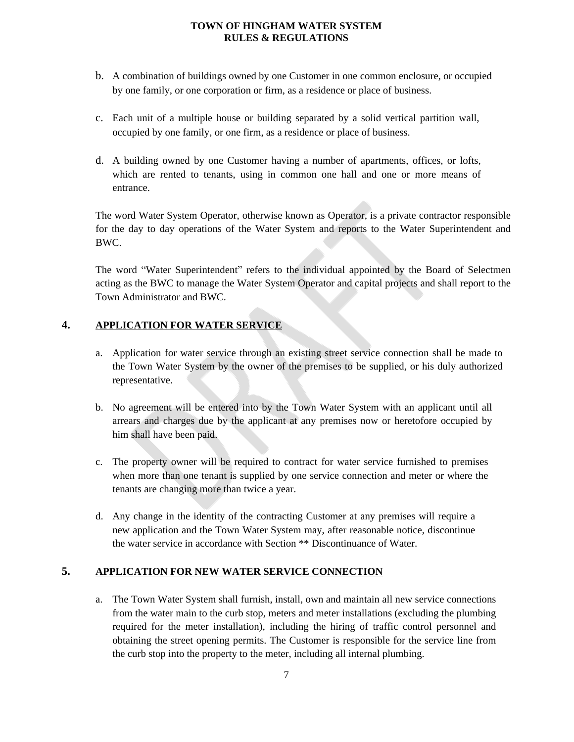- b. A combination of buildings owned by one Customer in one common enclosure, or occupied by one family, or one corporation or firm, as a residence or place of business.
- c. Each unit of a multiple house or building separated by a solid vertical partition wall, occupied by one family, or one firm, as a residence or place of business.
- d. A building owned by one Customer having a number of apartments, offices, or lofts, which are rented to tenants, using in common one hall and one or more means of entrance.

The word Water System Operator, otherwise known as Operator, is a private contractor responsible for the day to day operations of the Water System and reports to the Water Superintendent and BWC.

The word "Water Superintendent" refers to the individual appointed by the Board of Selectmen acting as the BWC to manage the Water System Operator and capital projects and shall report to the Town Administrator and BWC.

# **4. APPLICATION FOR WATER SERVICE**

- <span id="page-6-0"></span>a. Application for water service through an existing street service connection shall be made to the Town Water System by the owner of the premises to be supplied, or his duly authorized representative.
- b. No agreement will be entered into by the Town Water System with an applicant until all arrears and charges due by the applicant at any premises now or heretofore occupied by him shall have been paid.
- c. The property owner will be required to contract for water service furnished to premises when more than one tenant is supplied by one service connection and meter or where the tenants are changing more than twice a year.
- d. Any change in the identity of the contracting Customer at any premises will require a new application and the Town Water System may, after reasonable notice, discontinue the water service in accordance with Section \*\* Discontinuance of Water.

# **5. APPLICATION FOR NEW WATER SERVICE CONNECTION**

<span id="page-6-1"></span>a. The Town Water System shall furnish, install, own and maintain all new service connections from the water main to the curb stop, meters and meter installations (excluding the plumbing required for the meter installation), including the hiring of traffic control personnel and obtaining the street opening permits. The Customer is responsible for the service line from the curb stop into the property to the meter, including all internal plumbing.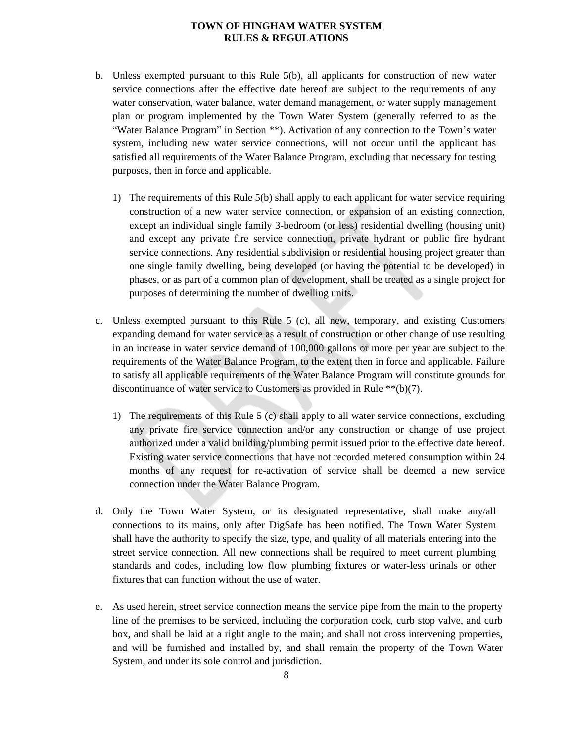- b. Unless exempted pursuant to this Rule 5(b), all applicants for construction of new water service connections after the effective date hereof are subject to the requirements of any water conservation, water balance, water demand management, or water supply management plan or program implemented by the Town Water System (generally referred to as the "Water Balance Program" in Section \*\*). Activation of any connection to the Town's water system, including new water service connections, will not occur until the applicant has satisfied all requirements of the Water Balance Program, excluding that necessary for testing purposes, then in force and applicable.
	- 1) The requirements of this Rule 5(b) shall apply to each applicant for water service requiring construction of a new water service connection, or expansion of an existing connection, except an individual single family 3-bedroom (or less) residential dwelling (housing unit) and except any private fire service connection, private hydrant or public fire hydrant service connections. Any residential subdivision or residential housing project greater than one single family dwelling, being developed (or having the potential to be developed) in phases, or as part of a common plan of development, shall be treated as a single project for purposes of determining the number of dwelling units.
- c. Unless exempted pursuant to this Rule  $5$  (c), all new, temporary, and existing Customers expanding demand for water service as a result of construction or other change of use resulting in an increase in water service demand of 100,000 gallons or more per year are subject to the requirements of the Water Balance Program, to the extent then in force and applicable. Failure to satisfy all applicable requirements of the Water Balance Program will constitute grounds for discontinuance of water service to Customers as provided in Rule \*\*(b)(7).
	- 1) The requirements of this Rule 5 (c) shall apply to all water service connections, excluding any private fire service connection and/or any construction or change of use project authorized under a valid building/plumbing permit issued prior to the effective date hereof. Existing water service connections that have not recorded metered consumption within 24 months of any request for re-activation of service shall be deemed a new service connection under the Water Balance Program.
- d. Only the Town Water System, or its designated representative, shall make any/all connections to its mains, only after DigSafe has been notified. The Town Water System shall have the authority to specify the size, type, and quality of all materials entering into the street service connection. All new connections shall be required to meet current plumbing standards and codes, including low flow plumbing fixtures or water-less urinals or other fixtures that can function without the use of water.
- e. As used herein, street service connection means the service pipe from the main to the property line of the premises to be serviced, including the corporation cock, curb stop valve, and curb box, and shall be laid at a right angle to the main; and shall not cross intervening properties, and will be furnished and installed by, and shall remain the property of the Town Water System, and under its sole control and jurisdiction.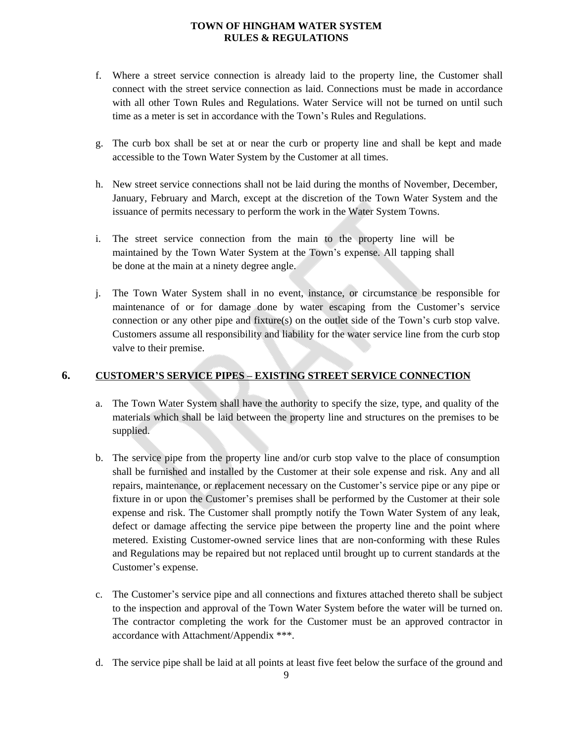- f. Where a street service connection is already laid to the property line, the Customer shall connect with the street service connection as laid. Connections must be made in accordance with all other Town Rules and Regulations. Water Service will not be turned on until such time as a meter is set in accordance with the Town's Rules and Regulations.
- g. The curb box shall be set at or near the curb or property line and shall be kept and made accessible to the Town Water System by the Customer at all times.
- h. New street service connections shall not be laid during the months of November, December, January, February and March, except at the discretion of the Town Water System and the issuance of permits necessary to perform the work in the Water System Towns.
- i. The street service connection from the main to the property line will be maintained by the Town Water System at the Town's expense. All tapping shall be done at the main at a ninety degree angle.
- j. The Town Water System shall in no event, instance, or circumstance be responsible for maintenance of or for damage done by water escaping from the Customer's service connection or any other pipe and fixture(s) on the outlet side of the Town's curb stop valve. Customers assume all responsibility and liability for the water service line from the curb stop valve to their premise.

## **6. CUSTOMER'S SERVICE PIPES – EXISTING STREET SERVICE CONNECTION**

- <span id="page-8-0"></span>a. The Town Water System shall have the authority to specify the size, type, and quality of the materials which shall be laid between the property line and structures on the premises to be supplied.
- b. The service pipe from the property line and/or curb stop valve to the place of consumption shall be furnished and installed by the Customer at their sole expense and risk. Any and all repairs, maintenance, or replacement necessary on the Customer's service pipe or any pipe or fixture in or upon the Customer's premises shall be performed by the Customer at their sole expense and risk. The Customer shall promptly notify the Town Water System of any leak, defect or damage affecting the service pipe between the property line and the point where metered. Existing Customer-owned service lines that are non-conforming with these Rules and Regulations may be repaired but not replaced until brought up to current standards at the Customer's expense.
- c. The Customer's service pipe and all connections and fixtures attached thereto shall be subject to the inspection and approval of the Town Water System before the water will be turned on. The contractor completing the work for the Customer must be an approved contractor in accordance with Attachment/Appendix \*\*\*.
- d. The service pipe shall be laid at all points at least five feet below the surface of the ground and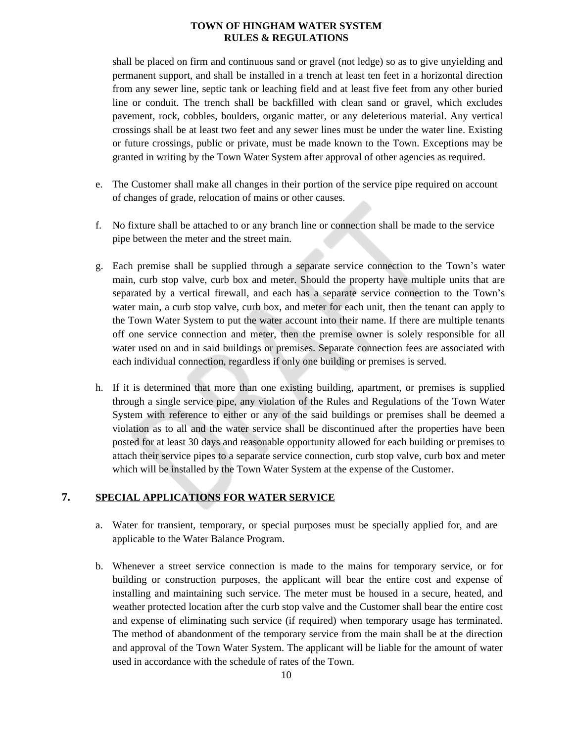shall be placed on firm and continuous sand or gravel (not ledge) so as to give unyielding and permanent support, and shall be installed in a trench at least ten feet in a horizontal direction from any sewer line, septic tank or leaching field and at least five feet from any other buried line or conduit. The trench shall be backfilled with clean sand or gravel, which excludes pavement, rock, cobbles, boulders, organic matter, or any deleterious material. Any vertical crossings shall be at least two feet and any sewer lines must be under the water line. Existing or future crossings, public or private, must be made known to the Town. Exceptions may be granted in writing by the Town Water System after approval of other agencies as required.

- e. The Customer shall make all changes in their portion of the service pipe required on account of changes of grade, relocation of mains or other causes.
- f. No fixture shall be attached to or any branch line or connection shall be made to the service pipe between the meter and the street main.
- g. Each premise shall be supplied through a separate service connection to the Town's water main, curb stop valve, curb box and meter. Should the property have multiple units that are separated by a vertical firewall, and each has a separate service connection to the Town's water main, a curb stop valve, curb box, and meter for each unit, then the tenant can apply to the Town Water System to put the water account into their name. If there are multiple tenants off one service connection and meter, then the premise owner is solely responsible for all water used on and in said buildings or premises. Separate connection fees are associated with each individual connection, regardless if only one building or premises is served.
- h. If it is determined that more than one existing building, apartment, or premises is supplied through a single service pipe, any violation of the Rules and Regulations of the Town Water System with reference to either or any of the said buildings or premises shall be deemed a violation as to all and the water service shall be discontinued after the properties have been posted for at least 30 days and reasonable opportunity allowed for each building or premises to attach their service pipes to a separate service connection, curb stop valve, curb box and meter which will be installed by the Town Water System at the expense of the Customer.

# **7. SPECIAL APPLICATIONS FOR WATER SERVICE**

- <span id="page-9-0"></span>a. Water for transient, temporary, or special purposes must be specially applied for, and are applicable to the Water Balance Program.
- b. Whenever a street service connection is made to the mains for temporary service, or for building or construction purposes, the applicant will bear the entire cost and expense of installing and maintaining such service. The meter must be housed in a secure, heated, and weather protected location after the curb stop valve and the Customer shall bear the entire cost and expense of eliminating such service (if required) when temporary usage has terminated. The method of abandonment of the temporary service from the main shall be at the direction and approval of the Town Water System. The applicant will be liable for the amount of water used in accordance with the schedule of rates of the Town.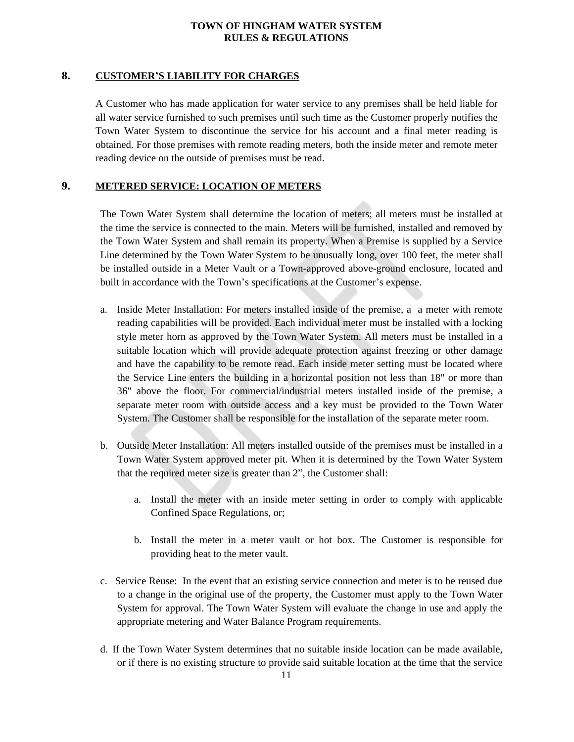## **8. CUSTOMER'S LIABILITY FOR CHARGES**

<span id="page-10-0"></span>A Customer who has made application for water service to any premises shall be held liable for all water service furnished to such premises until such time as the Customer properly notifies the Town Water System to discontinue the service for his account and a final meter reading is obtained. For those premises with remote reading meters, both the inside meter and remote meter reading device on the outside of premises must be read.

# **9. METERED SERVICE: LOCATION OF METERS**

<span id="page-10-1"></span>The Town Water System shall determine the location of meters; all meters must be installed at the time the service is connected to the main. Meters will be furnished, installed and removed by the Town Water System and shall remain its property. When a Premise is supplied by a Service Line determined by the Town Water System to be unusually long, over 100 feet, the meter shall be installed outside in a Meter Vault or a Town-approved above-ground enclosure, located and built in accordance with the Town's specifications at the Customer's expense.

- a. Inside Meter Installation: For meters installed inside of the premise, a a meter with remote reading capabilities will be provided. Each individual meter must be installed with a locking style meter horn as approved by the Town Water System. All meters must be installed in a suitable location which will provide adequate protection against freezing or other damage and have the capability to be remote read. Each inside meter setting must be located where the Service Line enters the building in a horizontal position not less than 18" or more than 36" above the floor. For commercial/industrial meters installed inside of the premise, a separate meter room with outside access and a key must be provided to the Town Water System. The Customer shall be responsible for the installation of the separate meter room.
- b. Outside Meter Installation: All meters installed outside of the premises must be installed in a Town Water System approved meter pit. When it is determined by the Town Water System that the required meter size is greater than 2", the Customer shall:
	- a. Install the meter with an inside meter setting in order to comply with applicable Confined Space Regulations, or;
	- b. Install the meter in a meter vault or hot box. The Customer is responsible for providing heat to the meter vault.
- c. Service Reuse: In the event that an existing service connection and meter is to be reused due to a change in the original use of the property, the Customer must apply to the Town Water System for approval. The Town Water System will evaluate the change in use and apply the appropriate metering and Water Balance Program requirements.
- d. If the Town Water System determines that no suitable inside location can be made available, or if there is no existing structure to provide said suitable location at the time that the service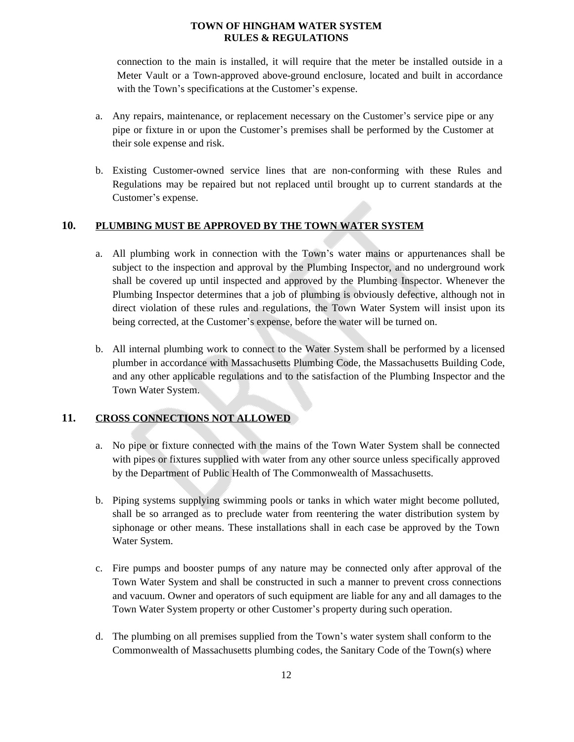connection to the main is installed, it will require that the meter be installed outside in a Meter Vault or a Town-approved above-ground enclosure, located and built in accordance with the Town's specifications at the Customer's expense.

- a. Any repairs, maintenance, or replacement necessary on the Customer's service pipe or any pipe or fixture in or upon the Customer's premises shall be performed by the Customer at their sole expense and risk.
- b. Existing Customer-owned service lines that are non-conforming with these Rules and Regulations may be repaired but not replaced until brought up to current standards at the Customer's expense.

# **10. PLUMBING MUST BE APPROVED BY THE TOWN WATER SYSTEM**

- <span id="page-11-0"></span>a. All plumbing work in connection with the Town's water mains or appurtenances shall be subject to the inspection and approval by the Plumbing Inspector, and no underground work shall be covered up until inspected and approved by the Plumbing Inspector. Whenever the Plumbing Inspector determines that a job of plumbing is obviously defective, although not in direct violation of these rules and regulations, the Town Water System will insist upon its being corrected, at the Customer's expense, before the water will be turned on.
- b. All internal plumbing work to connect to the Water System shall be performed by a licensed plumber in accordance with Massachusetts Plumbing Code, the Massachusetts Building Code, and any other applicable regulations and to the satisfaction of the Plumbing Inspector and the Town Water System.

## **11. CROSS CONNECTIONS NOT ALLOWED**

- <span id="page-11-1"></span>a. No pipe or fixture connected with the mains of the Town Water System shall be connected with pipes or fixtures supplied with water from any other source unless specifically approved by the Department of Public Health of The Commonwealth of Massachusetts.
- b. Piping systems supplying swimming pools or tanks in which water might become polluted, shall be so arranged as to preclude water from reentering the water distribution system by siphonage or other means. These installations shall in each case be approved by the Town Water System.
- c. Fire pumps and booster pumps of any nature may be connected only after approval of the Town Water System and shall be constructed in such a manner to prevent cross connections and vacuum. Owner and operators of such equipment are liable for any and all damages to the Town Water System property or other Customer's property during such operation.
- d. The plumbing on all premises supplied from the Town's water system shall conform to the Commonwealth of Massachusetts plumbing codes, the Sanitary Code of the Town(s) where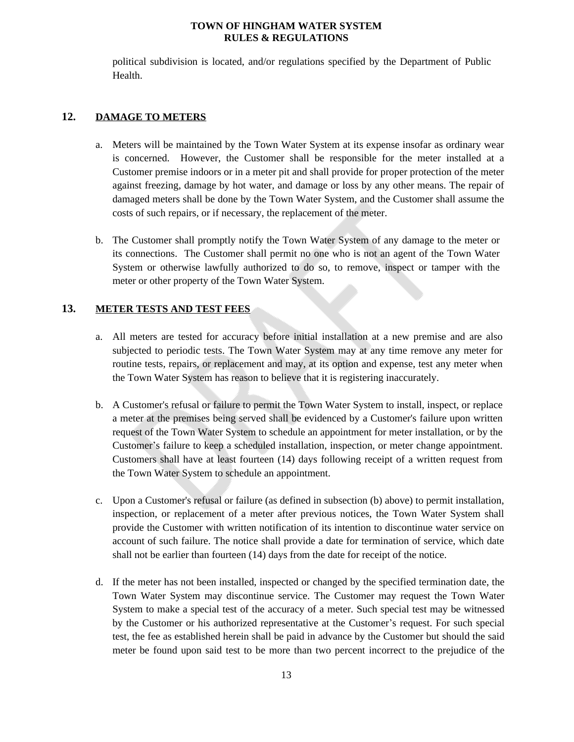political subdivision is located, and/or regulations specified by the Department of Public Health.

## **12. DAMAGE TO METERS**

- <span id="page-12-0"></span>a. Meters will be maintained by the Town Water System at its expense insofar as ordinary wear is concerned. However, the Customer shall be responsible for the meter installed at a Customer premise indoors or in a meter pit and shall provide for proper protection of the meter against freezing, damage by hot water, and damage or loss by any other means. The repair of damaged meters shall be done by the Town Water System, and the Customer shall assume the costs of such repairs, or if necessary, the replacement of the meter.
- b. The Customer shall promptly notify the Town Water System of any damage to the meter or its connections. The Customer shall permit no one who is not an agent of the Town Water System or otherwise lawfully authorized to do so, to remove, inspect or tamper with the meter or other property of the Town Water System.

#### **13. METER TESTS AND TEST FEES**

- <span id="page-12-1"></span>a. All meters are tested for accuracy before initial installation at a new premise and are also subjected to periodic tests. The Town Water System may at any time remove any meter for routine tests, repairs, or replacement and may, at its option and expense, test any meter when the Town Water System has reason to believe that it is registering inaccurately.
- b. A Customer's refusal or failure to permit the Town Water System to install, inspect, or replace a meter at the premises being served shall be evidenced by a Customer's failure upon written request of the Town Water System to schedule an appointment for meter installation, or by the Customer's failure to keep a scheduled installation, inspection, or meter change appointment. Customers shall have at least fourteen (14) days following receipt of a written request from the Town Water System to schedule an appointment.
- c. Upon a Customer's refusal or failure (as defined in subsection (b) above) to permit installation, inspection, or replacement of a meter after previous notices, the Town Water System shall provide the Customer with written notification of its intention to discontinue water service on account of such failure. The notice shall provide a date for termination of service, which date shall not be earlier than fourteen (14) days from the date for receipt of the notice.
- d. If the meter has not been installed, inspected or changed by the specified termination date, the Town Water System may discontinue service. The Customer may request the Town Water System to make a special test of the accuracy of a meter. Such special test may be witnessed by the Customer or his authorized representative at the Customer's request. For such special test, the fee as established herein shall be paid in advance by the Customer but should the said meter be found upon said test to be more than two percent incorrect to the prejudice of the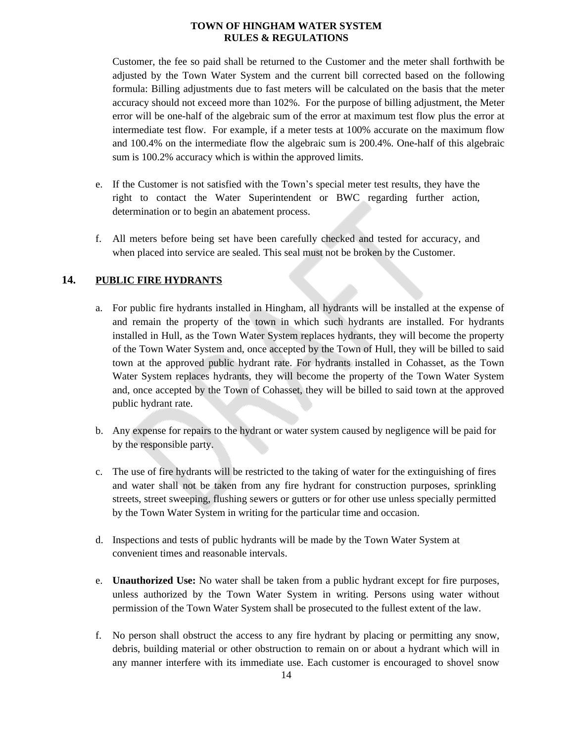Customer, the fee so paid shall be returned to the Customer and the meter shall forthwith be adjusted by the Town Water System and the current bill corrected based on the following formula: Billing adjustments due to fast meters will be calculated on the basis that the meter accuracy should not exceed more than 102%. For the purpose of billing adjustment, the Meter error will be one-half of the algebraic sum of the error at maximum test flow plus the error at intermediate test flow. For example, if a meter tests at 100% accurate on the maximum flow and 100.4% on the intermediate flow the algebraic sum is 200.4%. One-half of this algebraic sum is 100.2% accuracy which is within the approved limits.

- e. If the Customer is not satisfied with the Town's special meter test results, they have the right to contact the Water Superintendent or BWC regarding further action, determination or to begin an abatement process.
- f. All meters before being set have been carefully checked and tested for accuracy, and when placed into service are sealed. This seal must not be broken by the Customer.

# **14. PUBLIC FIRE HYDRANTS**

- <span id="page-13-0"></span>a. For public fire hydrants installed in Hingham, all hydrants will be installed at the expense of and remain the property of the town in which such hydrants are installed. For hydrants installed in Hull, as the Town Water System replaces hydrants, they will become the property of the Town Water System and, once accepted by the Town of Hull, they will be billed to said town at the approved public hydrant rate. For hydrants installed in Cohasset, as the Town Water System replaces hydrants, they will become the property of the Town Water System and, once accepted by the Town of Cohasset, they will be billed to said town at the approved public hydrant rate.
- b. Any expense for repairs to the hydrant or water system caused by negligence will be paid for by the responsible party.
- c. The use of fire hydrants will be restricted to the taking of water for the extinguishing of fires and water shall not be taken from any fire hydrant for construction purposes, sprinkling streets, street sweeping, flushing sewers or gutters or for other use unless specially permitted by the Town Water System in writing for the particular time and occasion.
- d. Inspections and tests of public hydrants will be made by the Town Water System at convenient times and reasonable intervals.
- e. **Unauthorized Use:** No water shall be taken from a public hydrant except for fire purposes, unless authorized by the Town Water System in writing. Persons using water without permission of the Town Water System shall be prosecuted to the fullest extent of the law.
- f. No person shall obstruct the access to any fire hydrant by placing or permitting any snow, debris, building material or other obstruction to remain on or about a hydrant which will in any manner interfere with its immediate use. Each customer is encouraged to shovel snow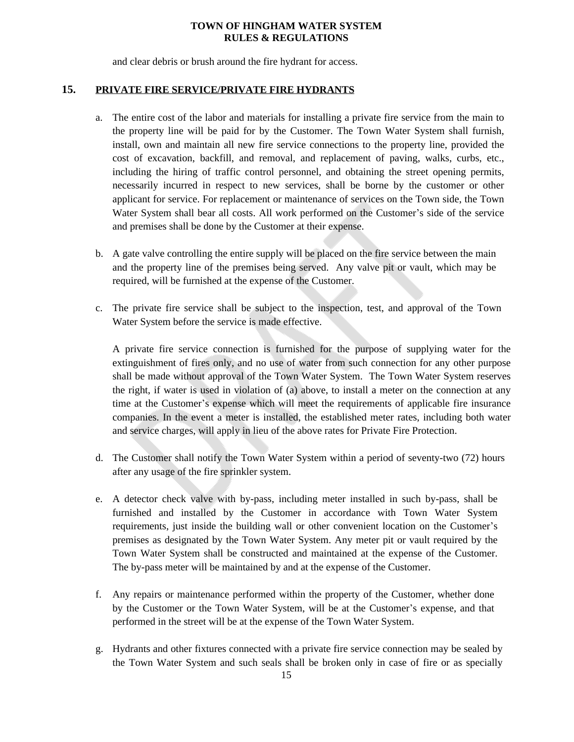and clear debris or brush around the fire hydrant for access.

## **15. PRIVATE FIRE SERVICE/PRIVATE FIRE HYDRANTS**

- <span id="page-14-0"></span>a. The entire cost of the labor and materials for installing a private fire service from the main to the property line will be paid for by the Customer. The Town Water System shall furnish, install, own and maintain all new fire service connections to the property line, provided the cost of excavation, backfill, and removal, and replacement of paving, walks, curbs, etc., including the hiring of traffic control personnel, and obtaining the street opening permits, necessarily incurred in respect to new services, shall be borne by the customer or other applicant for service. For replacement or maintenance of services on the Town side, the Town Water System shall bear all costs. All work performed on the Customer's side of the service and premises shall be done by the Customer at their expense.
- b. A gate valve controlling the entire supply will be placed on the fire service between the main and the property line of the premises being served. Any valve pit or vault, which may be required, will be furnished at the expense of the Customer.
- c. The private fire service shall be subject to the inspection, test, and approval of the Town Water System before the service is made effective.

A private fire service connection is furnished for the purpose of supplying water for the extinguishment of fires only, and no use of water from such connection for any other purpose shall be made without approval of the Town Water System. The Town Water System reserves the right, if water is used in violation of (a) above, to install a meter on the connection at any time at the Customer's expense which will meet the requirements of applicable fire insurance companies. In the event a meter is installed, the established meter rates, including both water and service charges, will apply in lieu of the above rates for Private Fire Protection.

- d. The Customer shall notify the Town Water System within a period of seventy-two (72) hours after any usage of the fire sprinkler system.
- e. A detector check valve with by-pass, including meter installed in such by-pass, shall be furnished and installed by the Customer in accordance with Town Water System requirements, just inside the building wall or other convenient location on the Customer's premises as designated by the Town Water System. Any meter pit or vault required by the Town Water System shall be constructed and maintained at the expense of the Customer. The by-pass meter will be maintained by and at the expense of the Customer.
- f. Any repairs or maintenance performed within the property of the Customer, whether done by the Customer or the Town Water System, will be at the Customer's expense, and that performed in the street will be at the expense of the Town Water System.
- g. Hydrants and other fixtures connected with a private fire service connection may be sealed by the Town Water System and such seals shall be broken only in case of fire or as specially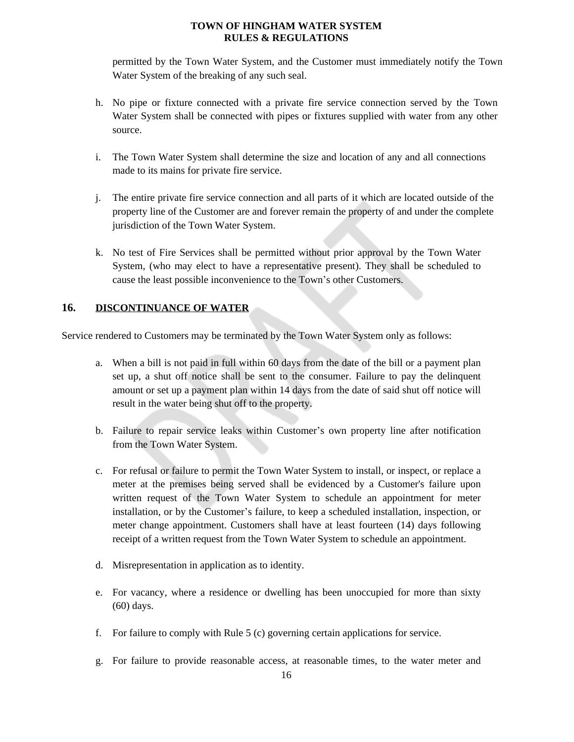permitted by the Town Water System, and the Customer must immediately notify the Town Water System of the breaking of any such seal.

- h. No pipe or fixture connected with a private fire service connection served by the Town Water System shall be connected with pipes or fixtures supplied with water from any other source.
- i. The Town Water System shall determine the size and location of any and all connections made to its mains for private fire service.
- j. The entire private fire service connection and all parts of it which are located outside of the property line of the Customer are and forever remain the property of and under the complete jurisdiction of the Town Water System.
- k. No test of Fire Services shall be permitted without prior approval by the Town Water System, (who may elect to have a representative present). They shall be scheduled to cause the least possible inconvenience to the Town's other Customers.

# <span id="page-15-0"></span>**16. DISCONTINUANCE OF WATER**

Service rendered to Customers may be terminated by the Town Water System only as follows:

- a. When a bill is not paid in full within 60 days from the date of the bill or a payment plan set up, a shut off notice shall be sent to the consumer. Failure to pay the delinquent amount or set up a payment plan within 14 days from the date of said shut off notice will result in the water being shut off to the property.
- b. Failure to repair service leaks within Customer's own property line after notification from the Town Water System.
- c. For refusal or failure to permit the Town Water System to install, or inspect, or replace a meter at the premises being served shall be evidenced by a Customer's failure upon written request of the Town Water System to schedule an appointment for meter installation, or by the Customer's failure, to keep a scheduled installation, inspection, or meter change appointment. Customers shall have at least fourteen (14) days following receipt of a written request from the Town Water System to schedule an appointment.
- d. Misrepresentation in application as to identity.
- e. For vacancy, where a residence or dwelling has been unoccupied for more than sixty (60) days.
- f. For failure to comply with Rule 5 (c) governing certain applications for service.
- g. For failure to provide reasonable access, at reasonable times, to the water meter and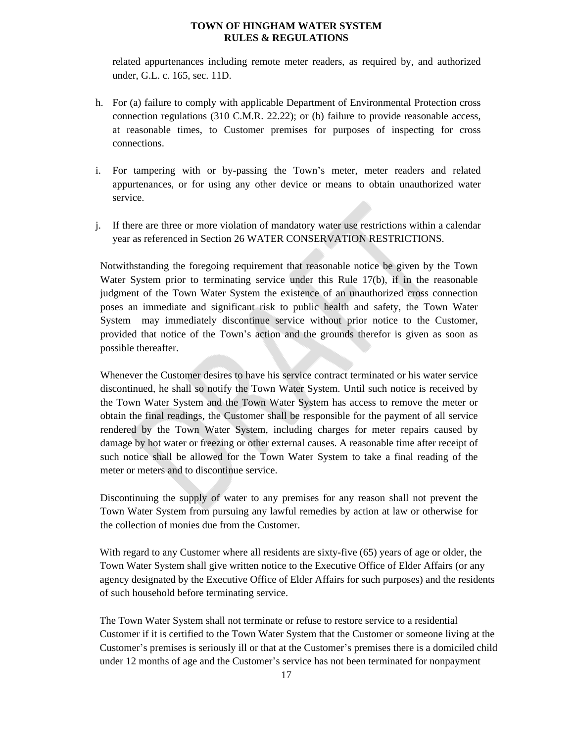related appurtenances including remote meter readers, as required by, and authorized under, G.L. c. 165, sec. 11D.

- h. For (a) failure to comply with applicable Department of Environmental Protection cross connection regulations (310 C.M.R. 22.22); or (b) failure to provide reasonable access, at reasonable times, to Customer premises for purposes of inspecting for cross connections.
- i. For tampering with or by-passing the Town's meter, meter readers and related appurtenances, or for using any other device or means to obtain unauthorized water service.
- j. If there are three or more violation of mandatory water use restrictions within a calendar year as referenced in Section 26 WATER CONSERVATION RESTRICTIONS.

Notwithstanding the foregoing requirement that reasonable notice be given by the Town Water System prior to terminating service under this Rule 17(b), if in the reasonable judgment of the Town Water System the existence of an unauthorized cross connection poses an immediate and significant risk to public health and safety, the Town Water System may immediately discontinue service without prior notice to the Customer, provided that notice of the Town's action and the grounds therefor is given as soon as possible thereafter.

Whenever the Customer desires to have his service contract terminated or his water service discontinued, he shall so notify the Town Water System. Until such notice is received by the Town Water System and the Town Water System has access to remove the meter or obtain the final readings, the Customer shall be responsible for the payment of all service rendered by the Town Water System, including charges for meter repairs caused by damage by hot water or freezing or other external causes. A reasonable time after receipt of such notice shall be allowed for the Town Water System to take a final reading of the meter or meters and to discontinue service.

Discontinuing the supply of water to any premises for any reason shall not prevent the Town Water System from pursuing any lawful remedies by action at law or otherwise for the collection of monies due from the Customer.

With regard to any Customer where all residents are sixty-five (65) years of age or older, the Town Water System shall give written notice to the Executive Office of Elder Affairs (or any agency designated by the Executive Office of Elder Affairs for such purposes) and the residents of such household before terminating service.

The Town Water System shall not terminate or refuse to restore service to a residential Customer if it is certified to the Town Water System that the Customer or someone living at the Customer's premises is seriously ill or that at the Customer's premises there is a domiciled child under 12 months of age and the Customer's service has not been terminated for nonpayment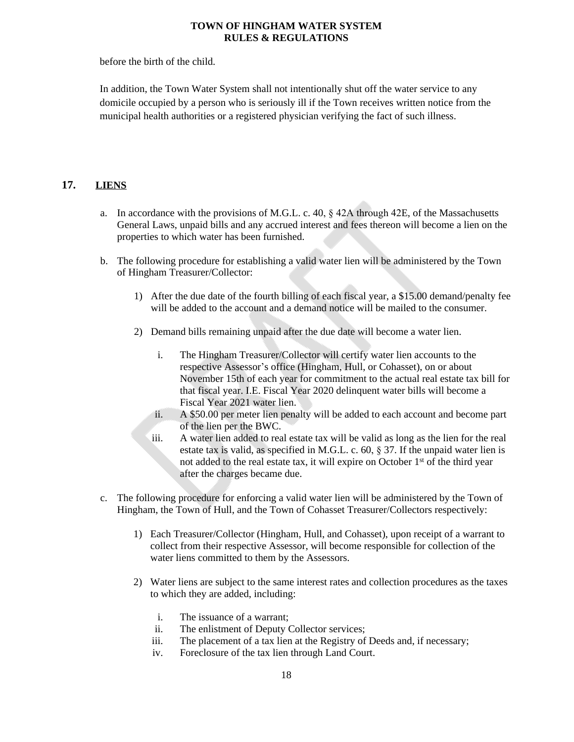before the birth of the child.

In addition, the Town Water System shall not intentionally shut off the water service to any domicile occupied by a person who is seriously ill if the Town receives written notice from the municipal health authorities or a registered physician verifying the fact of such illness.

# **17. LIENS**

- <span id="page-17-0"></span>a. In accordance with the provisions of M.G.L. c. 40,  $\S$  42A through 42E, of the Massachusetts General Laws, unpaid bills and any accrued interest and fees thereon will become a lien on the properties to which water has been furnished.
- b. The following procedure for establishing a valid water lien will be administered by the Town of Hingham Treasurer/Collector:
	- 1) After the due date of the fourth billing of each fiscal year, a \$15.00 demand/penalty fee will be added to the account and a demand notice will be mailed to the consumer.
	- 2) Demand bills remaining unpaid after the due date will become a water lien.
		- i. The Hingham Treasurer/Collector will certify water lien accounts to the respective Assessor's office (Hingham, Hull, or Cohasset), on or about November 15th of each year for commitment to the actual real estate tax bill for that fiscal year. I.E. Fiscal Year 2020 delinquent water bills will become a Fiscal Year 2021 water lien.
		- ii. A \$50.00 per meter lien penalty will be added to each account and become part of the lien per the BWC.
		- iii. A water lien added to real estate tax will be valid as long as the lien for the real estate tax is valid, as specified in M.G.L. c. 60,  $\S 37$ . If the unpaid water lien is not added to the real estate tax, it will expire on October 1st of the third year after the charges became due.
- c. The following procedure for enforcing a valid water lien will be administered by the Town of Hingham, the Town of Hull, and the Town of Cohasset Treasurer/Collectors respectively:
	- 1) Each Treasurer/Collector (Hingham, Hull, and Cohasset), upon receipt of a warrant to collect from their respective Assessor, will become responsible for collection of the water liens committed to them by the Assessors.
	- 2) Water liens are subject to the same interest rates and collection procedures as the taxes to which they are added, including:
		- i. The issuance of a warrant;
		- ii. The enlistment of Deputy Collector services;
		- iii. The placement of a tax lien at the Registry of Deeds and, if necessary;
		- iv. Foreclosure of the tax lien through Land Court.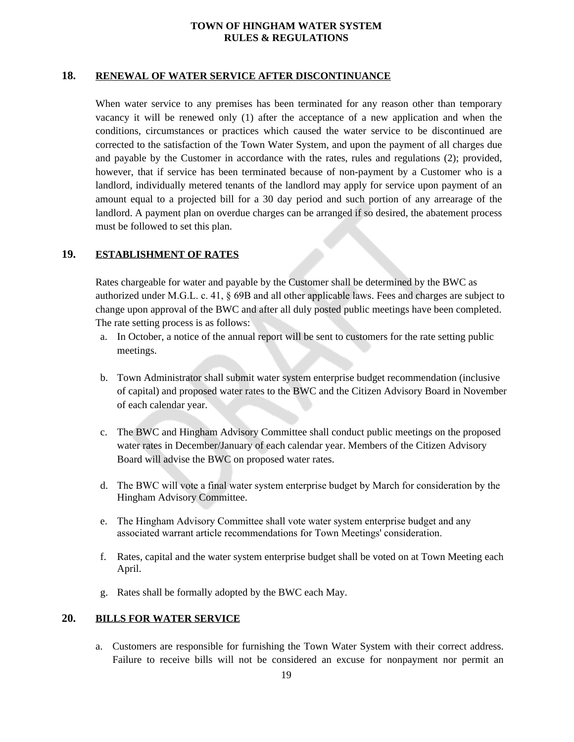## **18. RENEWAL OF WATER SERVICE AFTER DISCONTINUANCE**

<span id="page-18-0"></span>When water service to any premises has been terminated for any reason other than temporary vacancy it will be renewed only (1) after the acceptance of a new application and when the conditions, circumstances or practices which caused the water service to be discontinued are corrected to the satisfaction of the Town Water System, and upon the payment of all charges due and payable by the Customer in accordance with the rates, rules and regulations (2); provided, however, that if service has been terminated because of non-payment by a Customer who is a landlord, individually metered tenants of the landlord may apply for service upon payment of an amount equal to a projected bill for a 30 day period and such portion of any arrearage of the landlord. A payment plan on overdue charges can be arranged if so desired, the abatement process must be followed to set this plan.

# **19. ESTABLISHMENT OF RATES**

<span id="page-18-1"></span>Rates chargeable for water and payable by the Customer shall be determined by the BWC as authorized under M.G.L. c. 41, § 69B and all other applicable laws. Fees and charges are subject to change upon approval of the BWC and after all duly posted public meetings have been completed. The rate setting process is as follows:

- a. In October, a notice of the annual report will be sent to customers for the rate setting public meetings.
- b. Town Administrator shall submit water system enterprise budget recommendation (inclusive of capital) and proposed water rates to the BWC and the Citizen Advisory Board in November of each calendar year.
- c. The BWC and Hingham Advisory Committee shall conduct public meetings on the proposed water rates in December/January of each calendar year. Members of the Citizen Advisory Board will advise the BWC on proposed water rates.
- d. The BWC will vote a final water system enterprise budget by March for consideration by the Hingham Advisory Committee.
- e. The Hingham Advisory Committee shall vote water system enterprise budget and any associated warrant article recommendations for Town Meetings' consideration.
- f. Rates, capital and the water system enterprise budget shall be voted on at Town Meeting each April.
- <span id="page-18-2"></span>g. Rates shall be formally adopted by the BWC each May.

### **20. BILLS FOR WATER SERVICE**

a. Customers are responsible for furnishing the Town Water System with their correct address. Failure to receive bills will not be considered an excuse for nonpayment nor permit an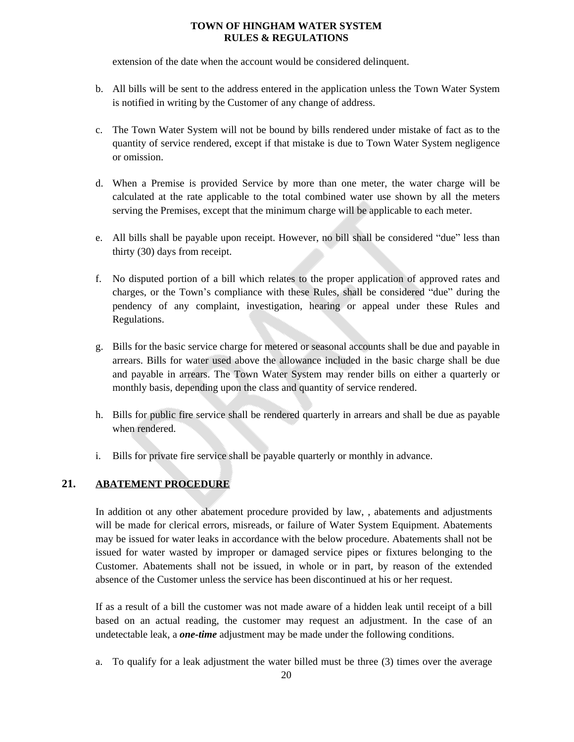extension of the date when the account would be considered delinquent.

- b. All bills will be sent to the address entered in the application unless the Town Water System is notified in writing by the Customer of any change of address.
- c. The Town Water System will not be bound by bills rendered under mistake of fact as to the quantity of service rendered, except if that mistake is due to Town Water System negligence or omission.
- d. When a Premise is provided Service by more than one meter, the water charge will be calculated at the rate applicable to the total combined water use shown by all the meters serving the Premises, except that the minimum charge will be applicable to each meter.
- e. All bills shall be payable upon receipt. However, no bill shall be considered "due" less than thirty (30) days from receipt.
- f. No disputed portion of a bill which relates to the proper application of approved rates and charges, or the Town's compliance with these Rules, shall be considered "due" during the pendency of any complaint, investigation, hearing or appeal under these Rules and Regulations.
- g. Bills for the basic service charge for metered or seasonal accounts shall be due and payable in arrears. Bills for water used above the allowance included in the basic charge shall be due and payable in arrears. The Town Water System may render bills on either a quarterly or monthly basis, depending upon the class and quantity of service rendered.
- h. Bills for public fire service shall be rendered quarterly in arrears and shall be due as payable when rendered.
- <span id="page-19-0"></span>i. Bills for private fire service shall be payable quarterly or monthly in advance.

## **21. ABATEMENT PROCEDURE**

In addition ot any other abatement procedure provided by law, , abatements and adjustments will be made for clerical errors, misreads, or failure of Water System Equipment. Abatements may be issued for water leaks in accordance with the below procedure. Abatements shall not be issued for water wasted by improper or damaged service pipes or fixtures belonging to the Customer. Abatements shall not be issued, in whole or in part, by reason of the extended absence of the Customer unless the service has been discontinued at his or her request.

If as a result of a bill the customer was not made aware of a hidden leak until receipt of a bill based on an actual reading, the customer may request an adjustment. In the case of an undetectable leak, a *one-time* adjustment may be made under the following conditions.

a. To qualify for a leak adjustment the water billed must be three (3) times over the average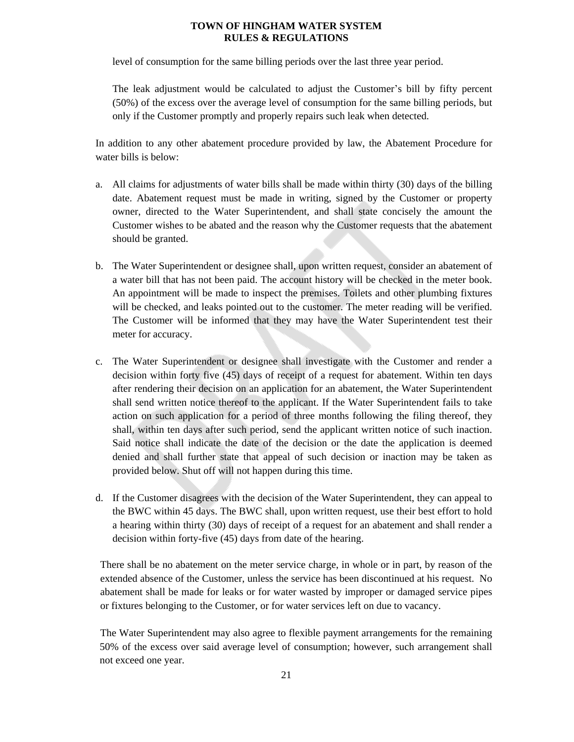level of consumption for the same billing periods over the last three year period.

The leak adjustment would be calculated to adjust the Customer's bill by fifty percent (50%) of the excess over the average level of consumption for the same billing periods, but only if the Customer promptly and properly repairs such leak when detected.

In addition to any other abatement procedure provided by law, the Abatement Procedure for water bills is below:

- a. All claims for adjustments of water bills shall be made within thirty (30) days of the billing date. Abatement request must be made in writing, signed by the Customer or property owner, directed to the Water Superintendent, and shall state concisely the amount the Customer wishes to be abated and the reason why the Customer requests that the abatement should be granted.
- b. The Water Superintendent or designee shall, upon written request, consider an abatement of a water bill that has not been paid. The account history will be checked in the meter book. An appointment will be made to inspect the premises. Toilets and other plumbing fixtures will be checked, and leaks pointed out to the customer. The meter reading will be verified. The Customer will be informed that they may have the Water Superintendent test their meter for accuracy.
- c. The Water Superintendent or designee shall investigate with the Customer and render a decision within forty five (45) days of receipt of a request for abatement. Within ten days after rendering their decision on an application for an abatement, the Water Superintendent shall send written notice thereof to the applicant. If the Water Superintendent fails to take action on such application for a period of three months following the filing thereof, they shall, within ten days after such period, send the applicant written notice of such inaction. Said notice shall indicate the date of the decision or the date the application is deemed denied and shall further state that appeal of such decision or inaction may be taken as provided below. Shut off will not happen during this time.
- d. If the Customer disagrees with the decision of the Water Superintendent, they can appeal to the BWC within 45 days. The BWC shall, upon written request, use their best effort to hold a hearing within thirty (30) days of receipt of a request for an abatement and shall render a decision within forty-five (45) days from date of the hearing.

There shall be no abatement on the meter service charge, in whole or in part, by reason of the extended absence of the Customer, unless the service has been discontinued at his request. No abatement shall be made for leaks or for water wasted by improper or damaged service pipes or fixtures belonging to the Customer, or for water services left on due to vacancy.

The Water Superintendent may also agree to flexible payment arrangements for the remaining 50% of the excess over said average level of consumption; however, such arrangement shall not exceed one year.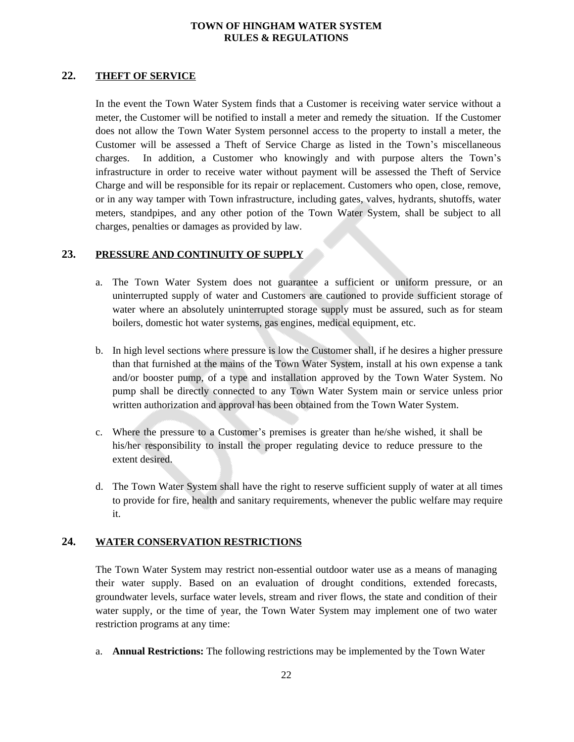### **22. THEFT OF SERVICE**

<span id="page-21-0"></span>In the event the Town Water System finds that a Customer is receiving water service without a meter, the Customer will be notified to install a meter and remedy the situation. If the Customer does not allow the Town Water System personnel access to the property to install a meter, the Customer will be assessed a Theft of Service Charge as listed in the Town's miscellaneous charges. In addition, a Customer who knowingly and with purpose alters the Town's infrastructure in order to receive water without payment will be assessed the Theft of Service Charge and will be responsible for its repair or replacement. Customers who open, close, remove, or in any way tamper with Town infrastructure, including gates, valves, hydrants, shutoffs, water meters, standpipes, and any other potion of the Town Water System, shall be subject to all charges, penalties or damages as provided by law.

## **23. PRESSURE AND CONTINUITY OF SUPPLY**

- <span id="page-21-1"></span>a. The Town Water System does not guarantee a sufficient or uniform pressure, or an uninterrupted supply of water and Customers are cautioned to provide sufficient storage of water where an absolutely uninterrupted storage supply must be assured, such as for steam boilers, domestic hot water systems, gas engines, medical equipment, etc.
- b. In high level sections where pressure is low the Customer shall, if he desires a higher pressure than that furnished at the mains of the Town Water System, install at his own expense a tank and/or booster pump, of a type and installation approved by the Town Water System. No pump shall be directly connected to any Town Water System main or service unless prior written authorization and approval has been obtained from the Town Water System.
- c. Where the pressure to a Customer's premises is greater than he/she wished, it shall be his/her responsibility to install the proper regulating device to reduce pressure to the extent desired.
- d. The Town Water System shall have the right to reserve sufficient supply of water at all times to provide for fire, health and sanitary requirements, whenever the public welfare may require it.

#### **24. WATER CONSERVATION RESTRICTIONS**

<span id="page-21-2"></span>The Town Water System may restrict non-essential outdoor water use as a means of managing their water supply. Based on an evaluation of drought conditions, extended forecasts, groundwater levels, surface water levels, stream and river flows, the state and condition of their water supply, or the time of year, the Town Water System may implement one of two water restriction programs at any time:

a. **Annual Restrictions:** The following restrictions may be implemented by the Town Water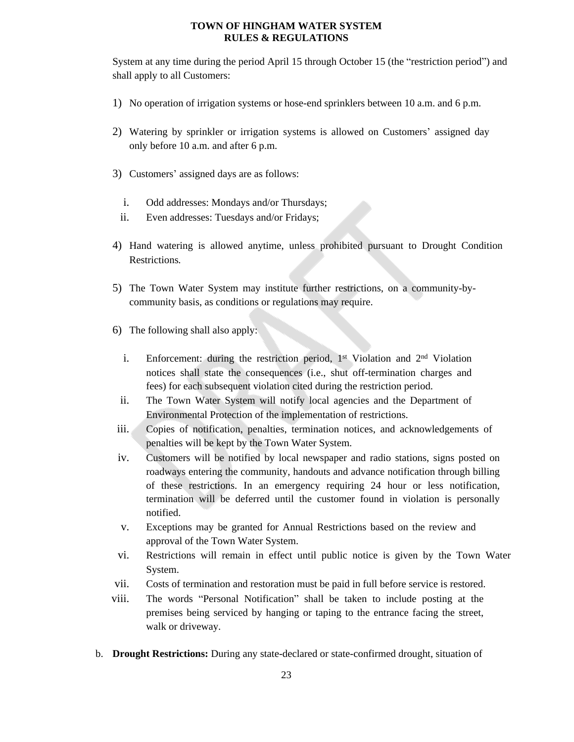System at any time during the period April 15 through October 15 (the "restriction period") and shall apply to all Customers:

- 1) No operation of irrigation systems or hose-end sprinklers between 10 a.m. and 6 p.m.
- 2) Watering by sprinkler or irrigation systems is allowed on Customers' assigned day only before 10 a.m. and after 6 p.m.
- 3) Customers' assigned days are as follows:
	- i. Odd addresses: Mondays and/or Thursdays;
	- ii. Even addresses: Tuesdays and/or Fridays;
- 4) Hand watering is allowed anytime, unless prohibited pursuant to Drought Condition Restrictions*.*
- 5) The Town Water System may institute further restrictions, on a community-bycommunity basis, as conditions or regulations may require.
- 6) The following shall also apply:
	- i. Enforcement: during the restriction period, 1<sup>st</sup> Violation and 2<sup>nd</sup> Violation notices shall state the consequences (i.e., shut off-termination charges and fees) for each subsequent violation cited during the restriction period.
	- ii. The Town Water System will notify local agencies and the Department of Environmental Protection of the implementation of restrictions.
- iii. Copies of notification, penalties, termination notices, and acknowledgements of penalties will be kept by the Town Water System.
- iv. Customers will be notified by local newspaper and radio stations, signs posted on roadways entering the community, handouts and advance notification through billing of these restrictions. In an emergency requiring 24 hour or less notification, termination will be deferred until the customer found in violation is personally notified.
- v. Exceptions may be granted for Annual Restrictions based on the review and approval of the Town Water System.
- vi. Restrictions will remain in effect until public notice is given by the Town Water System.
- vii. Costs of termination and restoration must be paid in full before service is restored.
- viii. The words "Personal Notification" shall be taken to include posting at the premises being serviced by hanging or taping to the entrance facing the street, walk or driveway.
- b. **Drought Restrictions:** During any state-declared or state-confirmed drought, situation of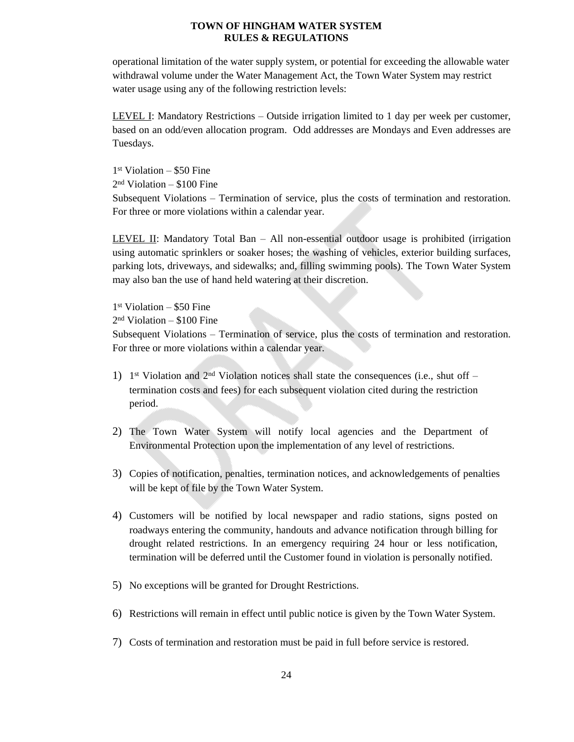operational limitation of the water supply system, or potential for exceeding the allowable water withdrawal volume under the Water Management Act, the Town Water System may restrict water usage using any of the following restriction levels:

LEVEL I: Mandatory Restrictions – Outside irrigation limited to 1 day per week per customer, based on an odd/even allocation program. Odd addresses are Mondays and Even addresses are Tuesdays.

1 st Violation – \$50 Fine

2 nd Violation – \$100 Fine

Subsequent Violations – Termination of service, plus the costs of termination and restoration. For three or more violations within a calendar year.

LEVEL II: Mandatory Total Ban – All non-essential outdoor usage is prohibited (irrigation using automatic sprinklers or soaker hoses; the washing of vehicles, exterior building surfaces, parking lots, driveways, and sidewalks; and, filling swimming pools). The Town Water System may also ban the use of hand held watering at their discretion.

1 st Violation – \$50 Fine

2 nd Violation – \$100 Fine

Subsequent Violations – Termination of service, plus the costs of termination and restoration. For three or more violations within a calendar year.

- 1) 1<sup>st</sup> Violation and 2<sup>nd</sup> Violation notices shall state the consequences (i.e., shut off termination costs and fees) for each subsequent violation cited during the restriction period.
- 2) The Town Water System will notify local agencies and the Department of Environmental Protection upon the implementation of any level of restrictions.
- 3) Copies of notification, penalties, termination notices, and acknowledgements of penalties will be kept of file by the Town Water System.
- 4) Customers will be notified by local newspaper and radio stations, signs posted on roadways entering the community, handouts and advance notification through billing for drought related restrictions. In an emergency requiring 24 hour or less notification, termination will be deferred until the Customer found in violation is personally notified.
- 5) No exceptions will be granted for Drought Restrictions.
- 6) Restrictions will remain in effect until public notice is given by the Town Water System.
- 7) Costs of termination and restoration must be paid in full before service is restored.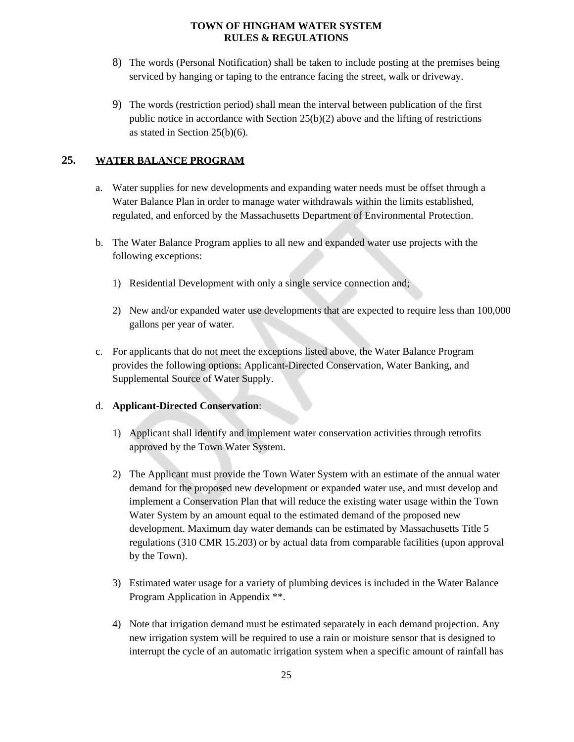- 8) The words (Personal Notification) shall be taken to include posting at the premises being serviced by hanging or taping to the entrance facing the street, walk or driveway.
- 9) The words (restriction period) shall mean the interval between publication of the first public notice in accordance with Section  $25(b)(2)$  above and the lifting of restrictions as stated in Section 25(b)(6).

# **25. WATER BALANCE PROGRAM**

- <span id="page-24-0"></span>a. Water supplies for new developments and expanding water needs must be offset through a Water Balance Plan in order to manage water withdrawals within the limits established, regulated, and enforced by the Massachusetts Department of Environmental Protection.
- b. The Water Balance Program applies to all new and expanded water use projects with the following exceptions:
	- 1) Residential Development with only a single service connection and;
	- 2) New and/or expanded water use developments that are expected to require less than 100,000 gallons per year of water.
- c. For applicants that do not meet the exceptions listed above, the Water Balance Program provides the following options: Applicant-Directed Conservation, Water Banking, and Supplemental Source of Water Supply.

## d. **Applicant-Directed Conservation**:

- 1) Applicant shall identify and implement water conservation activities through retrofits approved by the Town Water System.
- 2) The Applicant must provide the Town Water System with an estimate of the annual water demand for the proposed new development or expanded water use, and must develop and implement a Conservation Plan that will reduce the existing water usage within the Town Water System by an amount equal to the estimated demand of the proposed new development. Maximum day water demands can be estimated by Massachusetts Title 5 regulations (310 CMR 15.203) or by actual data from comparable facilities (upon approval by the Town).
- 3) Estimated water usage for a variety of plumbing devices is included in the Water Balance Program Application in Appendix \*\*.
- 4) Note that irrigation demand must be estimated separately in each demand projection. Any new irrigation system will be required to use a rain or moisture sensor that is designed to interrupt the cycle of an automatic irrigation system when a specific amount of rainfall has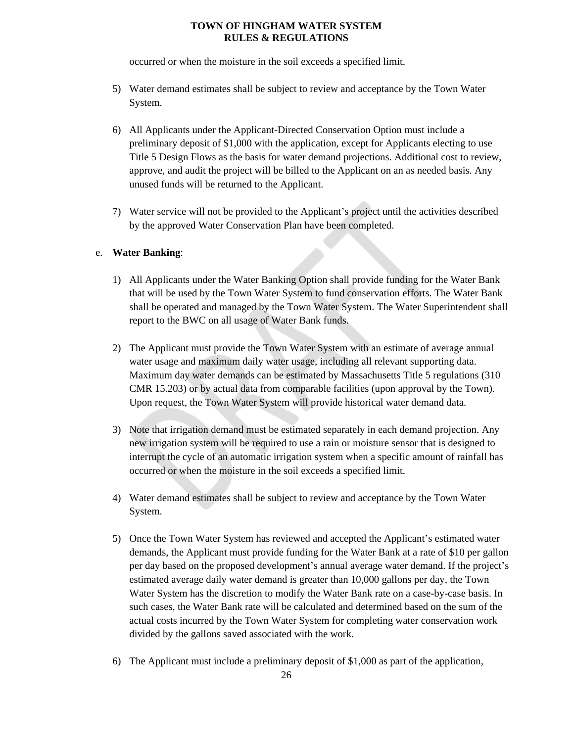occurred or when the moisture in the soil exceeds a specified limit.

- 5) Water demand estimates shall be subject to review and acceptance by the Town Water System.
- 6) All Applicants under the Applicant-Directed Conservation Option must include a preliminary deposit of \$1,000 with the application, except for Applicants electing to use Title 5 Design Flows as the basis for water demand projections. Additional cost to review, approve, and audit the project will be billed to the Applicant on an as needed basis. Any unused funds will be returned to the Applicant.
- 7) Water service will not be provided to the Applicant's project until the activities described by the approved Water Conservation Plan have been completed.

## e. **Water Banking**:

- 1) All Applicants under the Water Banking Option shall provide funding for the Water Bank that will be used by the Town Water System to fund conservation efforts. The Water Bank shall be operated and managed by the Town Water System. The Water Superintendent shall report to the BWC on all usage of Water Bank funds.
- 2) The Applicant must provide the Town Water System with an estimate of average annual water usage and maximum daily water usage, including all relevant supporting data. Maximum day water demands can be estimated by Massachusetts Title 5 regulations (310 CMR 15.203) or by actual data from comparable facilities (upon approval by the Town). Upon request, the Town Water System will provide historical water demand data.
- 3) Note that irrigation demand must be estimated separately in each demand projection. Any new irrigation system will be required to use a rain or moisture sensor that is designed to interrupt the cycle of an automatic irrigation system when a specific amount of rainfall has occurred or when the moisture in the soil exceeds a specified limit.
- 4) Water demand estimates shall be subject to review and acceptance by the Town Water System.
- 5) Once the Town Water System has reviewed and accepted the Applicant's estimated water demands, the Applicant must provide funding for the Water Bank at a rate of \$10 per gallon per day based on the proposed development's annual average water demand. If the project's estimated average daily water demand is greater than 10,000 gallons per day, the Town Water System has the discretion to modify the Water Bank rate on a case-by-case basis. In such cases, the Water Bank rate will be calculated and determined based on the sum of the actual costs incurred by the Town Water System for completing water conservation work divided by the gallons saved associated with the work.
- 6) The Applicant must include a preliminary deposit of \$1,000 as part of the application,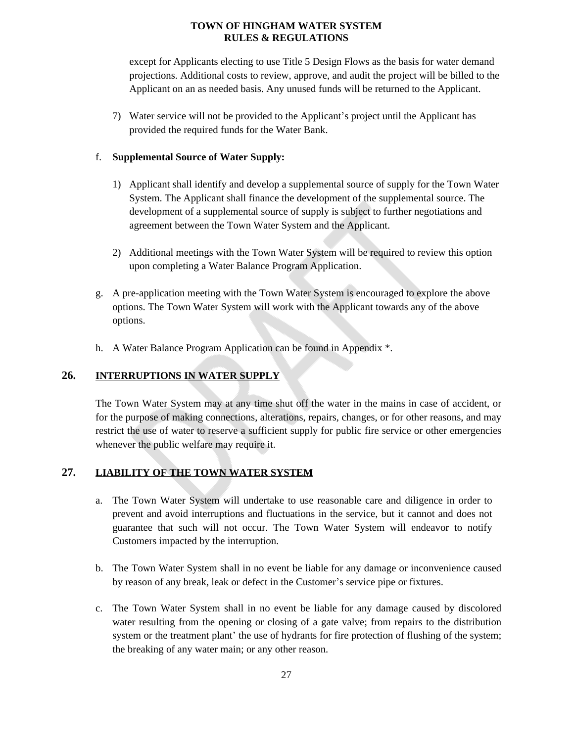except for Applicants electing to use Title 5 Design Flows as the basis for water demand projections. Additional costs to review, approve, and audit the project will be billed to the Applicant on an as needed basis. Any unused funds will be returned to the Applicant.

7) Water service will not be provided to the Applicant's project until the Applicant has provided the required funds for the Water Bank.

#### f. **Supplemental Source of Water Supply:**

- 1) Applicant shall identify and develop a supplemental source of supply for the Town Water System. The Applicant shall finance the development of the supplemental source. The development of a supplemental source of supply is subject to further negotiations and agreement between the Town Water System and the Applicant.
- 2) Additional meetings with the Town Water System will be required to review this option upon completing a Water Balance Program Application.
- g. A pre-application meeting with the Town Water System is encouraged to explore the above options. The Town Water System will work with the Applicant towards any of the above options.
- <span id="page-26-0"></span>h. A Water Balance Program Application can be found in Appendix \*.

## **26. INTERRUPTIONS IN WATER SUPPLY**

The Town Water System may at any time shut off the water in the mains in case of accident, or for the purpose of making connections, alterations, repairs, changes, or for other reasons, and may restrict the use of water to reserve a sufficient supply for public fire service or other emergencies whenever the public welfare may require it.

# **27. LIABILITY OF THE TOWN WATER SYSTEM**

- <span id="page-26-1"></span>a. The Town Water System will undertake to use reasonable care and diligence in order to prevent and avoid interruptions and fluctuations in the service, but it cannot and does not guarantee that such will not occur. The Town Water System will endeavor to notify Customers impacted by the interruption.
- b. The Town Water System shall in no event be liable for any damage or inconvenience caused by reason of any break, leak or defect in the Customer's service pipe or fixtures.
- c. The Town Water System shall in no event be liable for any damage caused by discolored water resulting from the opening or closing of a gate valve; from repairs to the distribution system or the treatment plant' the use of hydrants for fire protection of flushing of the system; the breaking of any water main; or any other reason.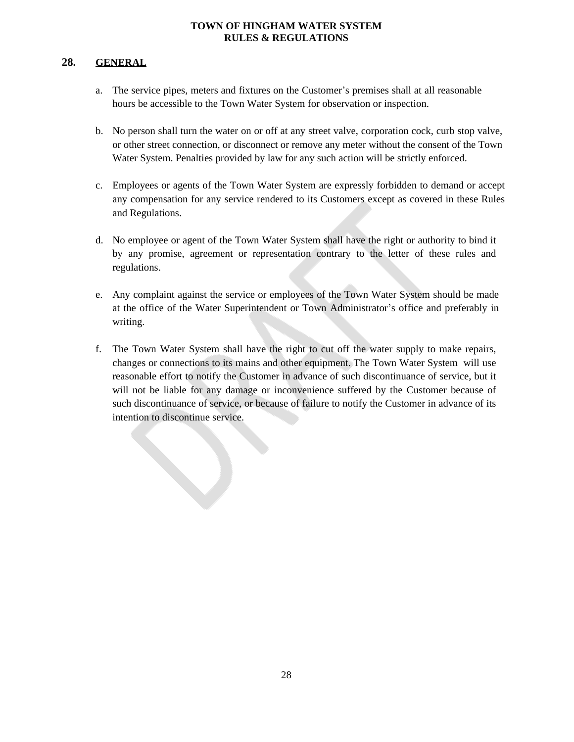# **28. GENERAL**

- <span id="page-27-0"></span>a. The service pipes, meters and fixtures on the Customer's premises shall at all reasonable hours be accessible to the Town Water System for observation or inspection.
- b. No person shall turn the water on or off at any street valve, corporation cock, curb stop valve, or other street connection, or disconnect or remove any meter without the consent of the Town Water System. Penalties provided by law for any such action will be strictly enforced.
- c. Employees or agents of the Town Water System are expressly forbidden to demand or accept any compensation for any service rendered to its Customers except as covered in these Rules and Regulations.
- d. No employee or agent of the Town Water System shall have the right or authority to bind it by any promise, agreement or representation contrary to the letter of these rules and regulations.
- e. Any complaint against the service or employees of the Town Water System should be made at the office of the Water Superintendent or Town Administrator's office and preferably in writing.
- f. The Town Water System shall have the right to cut off the water supply to make repairs, changes or connections to its mains and other equipment. The Town Water System will use reasonable effort to notify the Customer in advance of such discontinuance of service, but it will not be liable for any damage or inconvenience suffered by the Customer because of such discontinuance of service, or because of failure to notify the Customer in advance of its intention to discontinue service.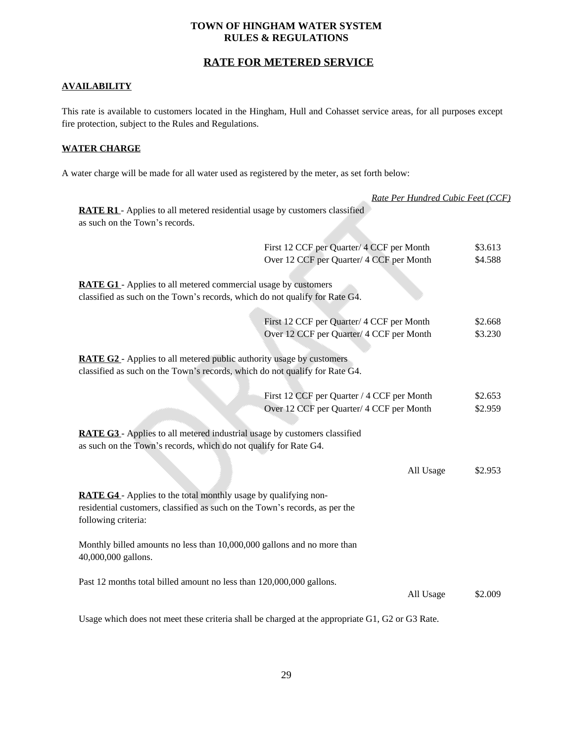# <span id="page-28-0"></span>**RATE FOR METERED SERVICE**

#### **AVAILABILITY**

This rate is available to customers located in the Hingham, Hull and Cohasset service areas, for all purposes except fire protection, subject to the Rules and Regulations.

#### **WATER CHARGE**

A water charge will be made for all water used as registered by the meter, as set forth below:

|                                                                                                                                                                                                                                                                                                                        | Rate Per Hundred Cubic Feet (CCF) |                    |
|------------------------------------------------------------------------------------------------------------------------------------------------------------------------------------------------------------------------------------------------------------------------------------------------------------------------|-----------------------------------|--------------------|
| <b>RATE R1</b> - Applies to all metered residential usage by customers classified<br>as such on the Town's records.                                                                                                                                                                                                    |                                   |                    |
| First 12 CCF per Quarter/ 4 CCF per Month                                                                                                                                                                                                                                                                              |                                   | \$3.613            |
| Over 12 CCF per Quarter/ 4 CCF per Month                                                                                                                                                                                                                                                                               |                                   | \$4.588            |
| RATE G1 - Applies to all metered commercial usage by customers<br>classified as such on the Town's records, which do not qualify for Rate G4.                                                                                                                                                                          |                                   |                    |
| First 12 CCF per Quarter/ 4 CCF per Month                                                                                                                                                                                                                                                                              |                                   | \$2.668            |
| Over 12 CCF per Quarter/ 4 CCF per Month                                                                                                                                                                                                                                                                               |                                   | \$3.230            |
| classified as such on the Town's records, which do not qualify for Rate G4.<br>First 12 CCF per Quarter / 4 CCF per Month<br>Over 12 CCF per Quarter/ 4 CCF per Month<br>RATE G3 - Applies to all metered industrial usage by customers classified<br>as such on the Town's records, which do not qualify for Rate G4. |                                   | \$2.653<br>\$2.959 |
|                                                                                                                                                                                                                                                                                                                        |                                   |                    |
|                                                                                                                                                                                                                                                                                                                        | All Usage                         | \$2.953            |
| <b>RATE G4</b> - Applies to the total monthly usage by qualifying non-<br>residential customers, classified as such on the Town's records, as per the<br>following criteria:                                                                                                                                           |                                   |                    |
| Monthly billed amounts no less than 10,000,000 gallons and no more than<br>40,000,000 gallons.                                                                                                                                                                                                                         |                                   |                    |
| Past 12 months total billed amount no less than 120,000,000 gallons.                                                                                                                                                                                                                                                   | All Usage                         | \$2.009            |
| Usage which does not meet these criteria shall be charged at the appropriate G1, G2 or G3 Rate.                                                                                                                                                                                                                        |                                   |                    |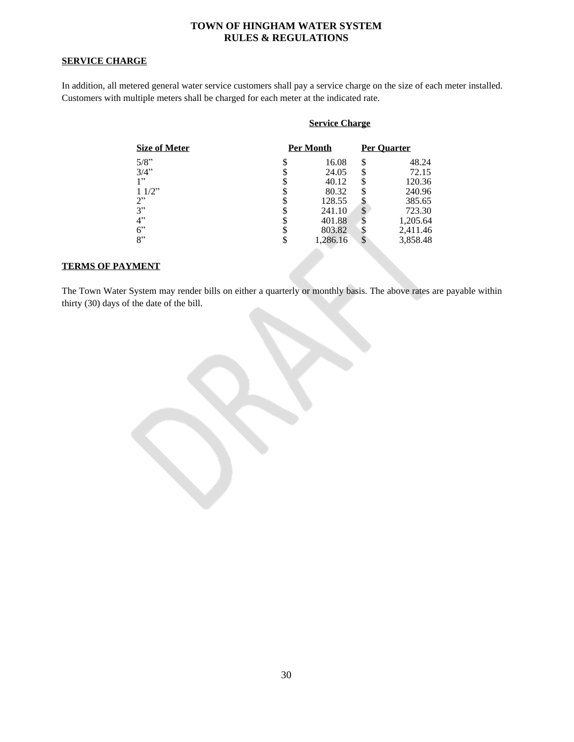#### **SERVICE CHARGE**

In addition, all metered general water service customers shall pay a service charge on the size of each meter installed. Customers with multiple meters shall be charged for each meter at the indicated rate.

# **Service Charge**

| <b>Size of Meter</b> |    | Per Month |    | <b>Per Ouarter</b> |
|----------------------|----|-----------|----|--------------------|
| 5/8"                 | S  | 16.08     | \$ | 48.24              |
| 3/4"                 |    | 24.05     | S  | 72.15              |
| 1, 22                |    | 40.12     |    | 120.36             |
| 11/2"                |    | 80.32     |    | 240.96             |
| 2"                   |    | 128.55    |    | 385.65             |
| 3"                   |    | 241.10    | \$ | 723.30             |
| 4"                   |    | 401.88    | Φ  | 1,205.64           |
| $6$ "                |    | 803.82    |    | 2,411.46           |
| 8"                   | \$ | 1,286.16  | \$ | 3,858.48           |
|                      |    |           |    |                    |

#### **TERMS OF PAYMENT**

The Town Water System may render bills on either a quarterly or monthly basis. The above rates are payable within thirty (30) days of the date of the bill.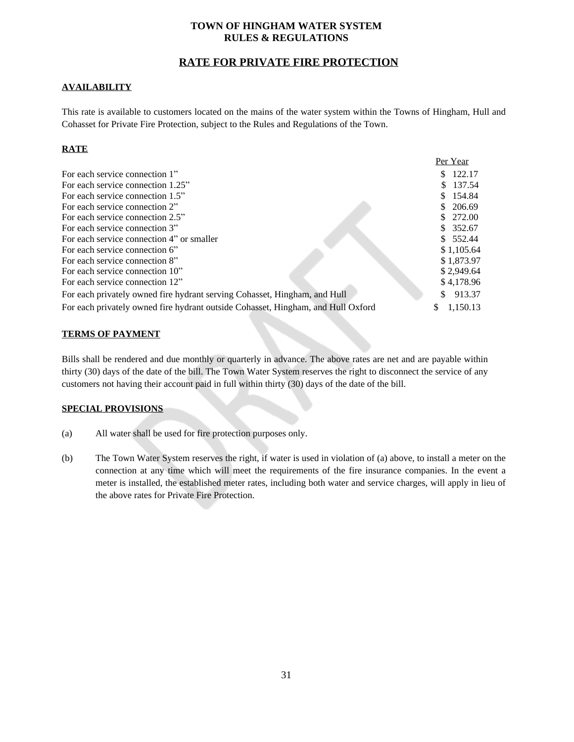# <span id="page-30-0"></span>**RATE FOR PRIVATE FIRE PROTECTION**

#### **AVAILABILITY**

This rate is available to customers located on the mains of the water system within the Towns of Hingham, Hull and Cohasset for Private Fire Protection, subject to the Rules and Regulations of the Town.

## **RATE**

|                                                                                  | Per Year      |
|----------------------------------------------------------------------------------|---------------|
| For each service connection 1"                                                   | 122.17        |
| For each service connection 1.25"                                                | \$137.54      |
| For each service connection 1.5"                                                 | \$154.84      |
| For each service connection 2"                                                   | \$206.69      |
| For each service connection 2.5"                                                 | \$272.00      |
| For each service connection 3"                                                   | \$352.67      |
| For each service connection 4" or smaller                                        | \$552.44      |
| For each service connection 6"                                                   | \$1.105.64    |
| For each service connection 8"                                                   | \$1,873.97    |
| For each service connection 10"                                                  | \$2,949.64    |
| For each service connection 12"                                                  | \$4,178.96    |
| For each privately owned fire hydrant serving Cohasset, Hingham, and Hull        | 913.37<br>S   |
| For each privately owned fire hydrant outside Cohasset, Hingham, and Hull Oxford | 1.150.13<br>S |

#### **TERMS OF PAYMENT**

Bills shall be rendered and due monthly or quarterly in advance. The above rates are net and are payable within thirty (30) days of the date of the bill. The Town Water System reserves the right to disconnect the service of any customers not having their account paid in full within thirty (30) days of the date of the bill.

#### **SPECIAL PROVISIONS**

- (a) All water shall be used for fire protection purposes only.
- (b) The Town Water System reserves the right, if water is used in violation of (a) above, to install a meter on the connection at any time which will meet the requirements of the fire insurance companies. In the event a meter is installed, the established meter rates, including both water and service charges, will apply in lieu of the above rates for Private Fire Protection.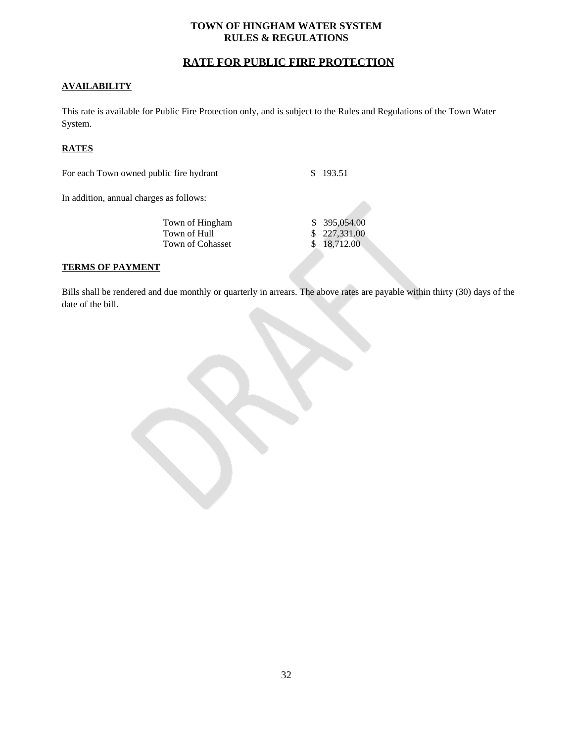# <span id="page-31-0"></span>**RATE FOR PUBLIC FIRE PROTECTION**

#### **AVAILABILITY**

This rate is available for Public Fire Protection only, and is subject to the Rules and Regulations of the Town Water System.

#### **RATES**

For each Town owned public fire hydrant \$ 193.51

In addition, annual charges as follows:

| Town of Hingham  | \$ 395,054.00 |
|------------------|---------------|
| Town of Hull     | \$227,331.00  |
| Town of Cohasset | \$18,712.00   |
|                  |               |

#### **TERMS OF PAYMENT**

Bills shall be rendered and due monthly or quarterly in arrears. The above rates are payable within thirty (30) days of the date of the bill.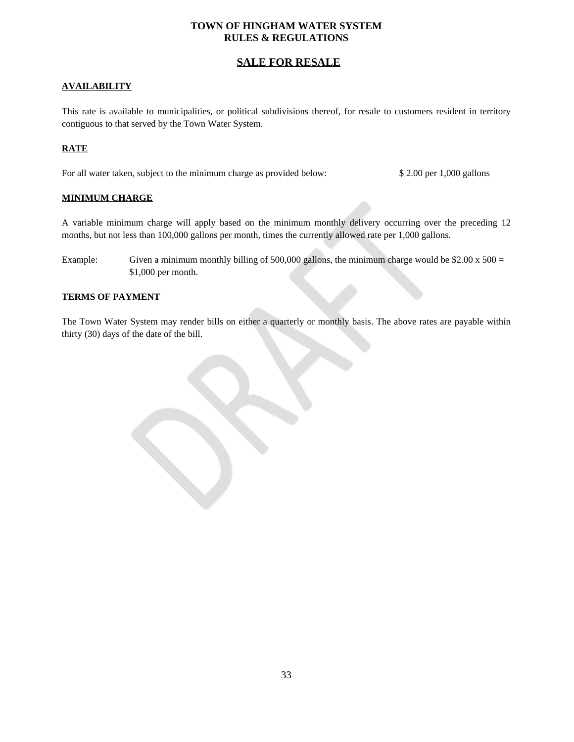# <span id="page-32-0"></span>**SALE FOR RESALE**

#### **AVAILABILITY**

This rate is available to municipalities, or political subdivisions thereof, for resale to customers resident in territory contiguous to that served by the Town Water System.

#### **RATE**

For all water taken, subject to the minimum charge as provided below: \$ 2.00 per 1,000 gallons

#### **MINIMUM CHARGE**

A variable minimum charge will apply based on the minimum monthly delivery occurring over the preceding 12 months, but not less than 100,000 gallons per month, times the currently allowed rate per 1,000 gallons.

Example: Given a minimum monthly billing of 500,000 gallons, the minimum charge would be  $$2.00 \times 500 =$ \$1,000 per month.

#### **TERMS OF PAYMENT**

The Town Water System may render bills on either a quarterly or monthly basis. The above rates are payable within thirty (30) days of the date of the bill.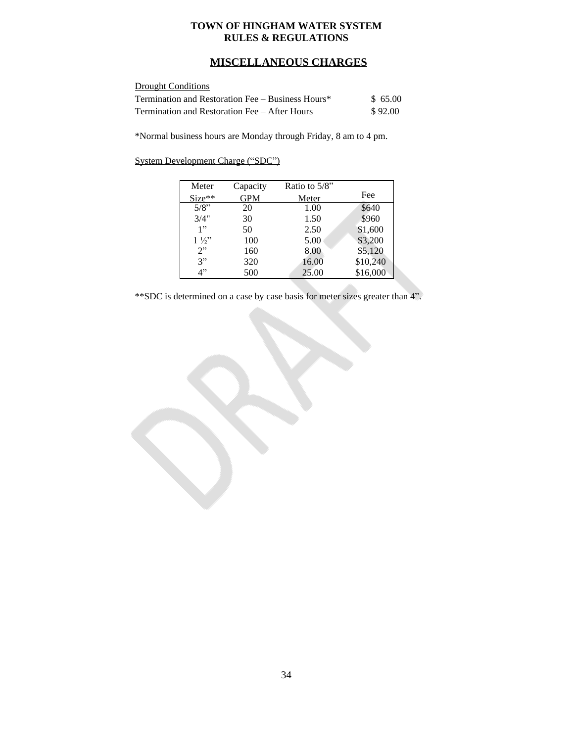# <span id="page-33-0"></span>**MISCELLANEOUS CHARGES**

#### **Drought Conditions**

| Termination and Restoration Fee – Business Hours* | \$65.00 |
|---------------------------------------------------|---------|
| Termination and Restoration Fee – After Hours     | \$92.00 |

\*Normal business hours are Monday through Friday, 8 am to 4 pm.

#### System Development Charge ("SDC")

| Meter          | Capacity   | Ratio to $5/8$ " |          |
|----------------|------------|------------------|----------|
| $Size**$       | <b>GPM</b> | Meter            | Fee      |
| 5/8"           | 20         | 1.00             | \$640    |
| 3/4"           | 30         | 1.50             | \$960    |
| 1"             | 50         | 2.50             | \$1,600  |
| $1\frac{1}{2}$ | 100        | 5.00             | \$3,200  |
| 2"             | 160        | 8.00             | \$5,120  |
| 3"             | 320        | 16.00            | \$10,240 |
| $\varDelta$ "  | 500        | 25.00            | \$16,000 |

\*\*SDC is determined on a case by case basis for meter sizes greater than 4".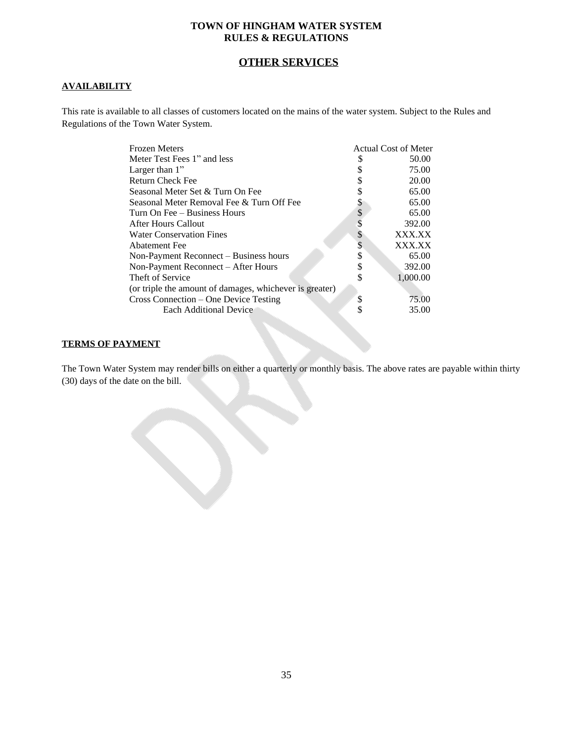# <span id="page-34-0"></span>**OTHER SERVICES**

#### **AVAILABILITY**

This rate is available to all classes of customers located on the mains of the water system. Subject to the Rules and Regulations of the Town Water System.

| <b>Frozen Meters</b>                                    |    | <b>Actual Cost of Meter</b> |
|---------------------------------------------------------|----|-----------------------------|
| Meter Test Fees 1" and less                             |    | 50.00                       |
| Larger than $1$ "                                       |    | 75.00                       |
| <b>Return Check Fee</b>                                 |    | 20.00                       |
| Seasonal Meter Set & Turn On Fee                        |    | 65.00                       |
| Seasonal Meter Removal Fee & Turn Off Fee               |    | 65.00                       |
| Turn On Fee - Business Hours                            | \$ | 65.00                       |
| After Hours Callout                                     |    | 392.00                      |
| <b>Water Conservation Fines</b>                         | S  | XXX.XX                      |
| <b>Abatement Fee</b>                                    | ъ  | XXX.XX                      |
| Non-Payment Reconnect – Business hours                  | \$ | 65.00                       |
| Non-Payment Reconnect – After Hours                     | \$ | 392.00                      |
| Theft of Service                                        |    | 1,000.00                    |
| (or triple the amount of damages, whichever is greater) |    |                             |
| Cross Connection – One Device Testing                   | \$ | 75.00                       |
| <b>Each Additional Device</b>                           |    | 35.00                       |
|                                                         |    |                             |

#### **TERMS OF PAYMENT**

The Town Water System may render bills on either a quarterly or monthly basis. The above rates are payable within thirty (30) days of the date on the bill.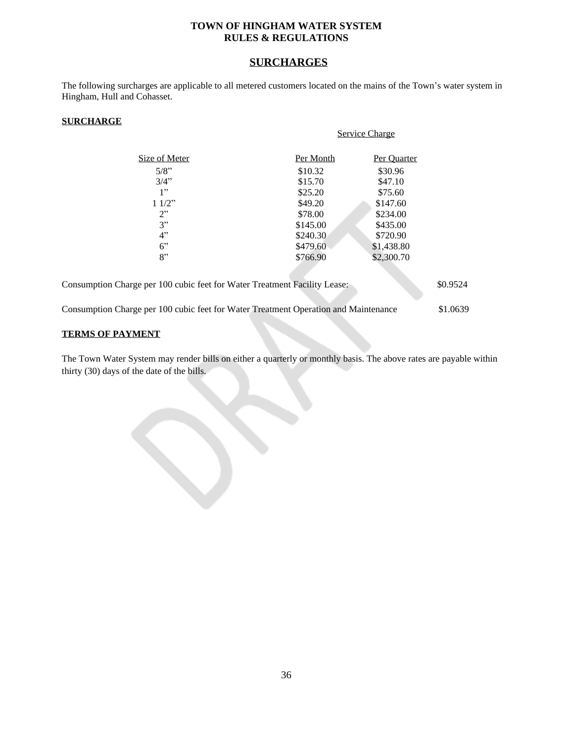# <span id="page-35-0"></span>**SURCHARGES**

The following surcharges are applicable to all metered customers located on the mains of the Town's water system in Hingham, Hull and Cohasset.

#### **SURCHARGE**

|                                                                                     | <b>Service Charge</b> |             |          |
|-------------------------------------------------------------------------------------|-----------------------|-------------|----------|
| Size of Meter                                                                       | Per Month             | Per Quarter |          |
| 5/8"                                                                                | \$10.32               | \$30.96     |          |
| 3/4"                                                                                | \$15.70               | \$47.10     |          |
| 1"                                                                                  | \$25.20               | \$75.60     |          |
| 11/2"                                                                               | \$49.20               | \$147.60    |          |
| 2"                                                                                  | \$78.00               | \$234.00    |          |
| 3"                                                                                  | \$145.00              | \$435.00    |          |
| 4"                                                                                  | \$240.30              | \$720.90    |          |
| $6$ "                                                                               | \$479.60              | \$1,438.80  |          |
| 8"                                                                                  | \$766.90              | \$2,300.70  |          |
| Consumption Charge per 100 cubic feet for Water Treatment Facility Lease:           |                       |             | \$0.9524 |
| Consumption Charge per 100 cubic feet for Water Treatment Operation and Maintenance |                       |             | \$1.0639 |
|                                                                                     |                       |             |          |

#### **TERMS OF PAYMENT**

The Town Water System may render bills on either a quarterly or monthly basis. The above rates are payable within thirty (30) days of the date of the bills.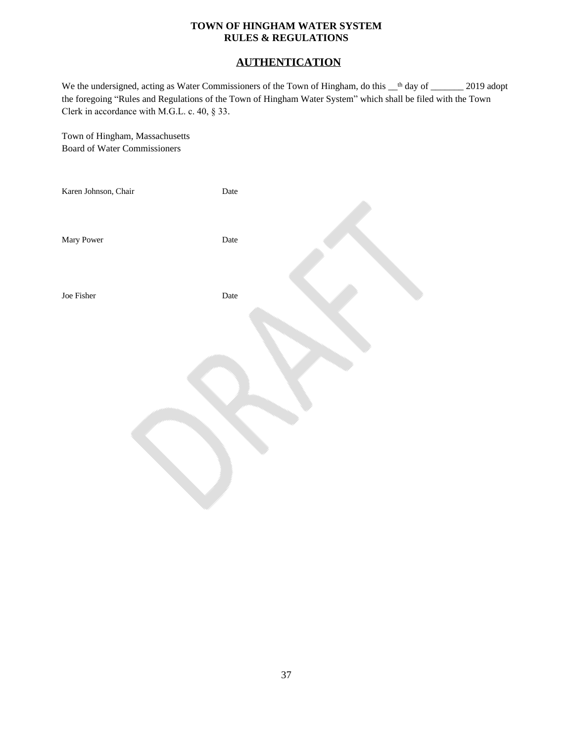# <span id="page-36-0"></span>**AUTHENTICATION**

We the undersigned, acting as Water Commissioners of the Town of Hingham, do this  $\mu$ <sup>th</sup> day of  $\mu$  2019 adopt the foregoing "Rules and Regulations of the Town of Hingham Water System" which shall be filed with the Town Clerk in accordance with M.G.L. c. 40, § 33.

Town of Hingham, Massachusetts Board of Water Commissioners

| Karen Johnson, Chair | $\rm{Date}$ |  |
|----------------------|-------------|--|
| Mary Power           | Date        |  |
| Joe Fisher           | Date        |  |
|                      |             |  |
|                      |             |  |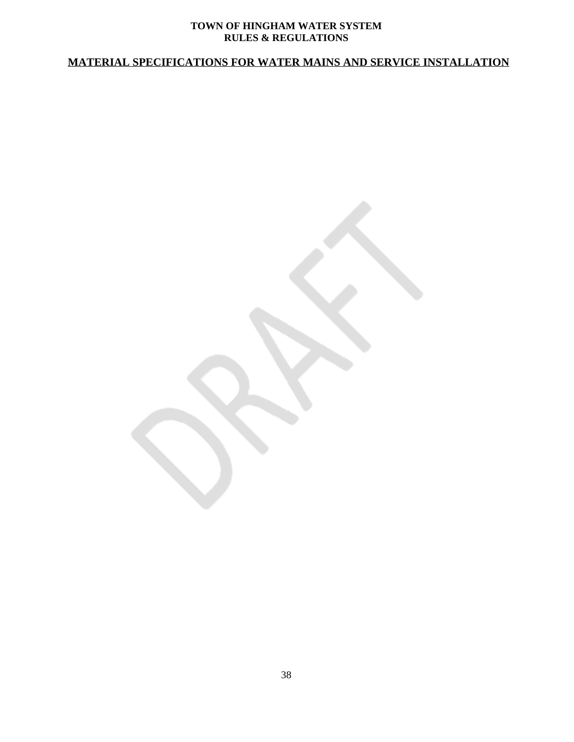# <span id="page-37-0"></span>**MATERIAL SPECIFICATIONS FOR WATER MAINS AND SERVICE INSTALLATION**